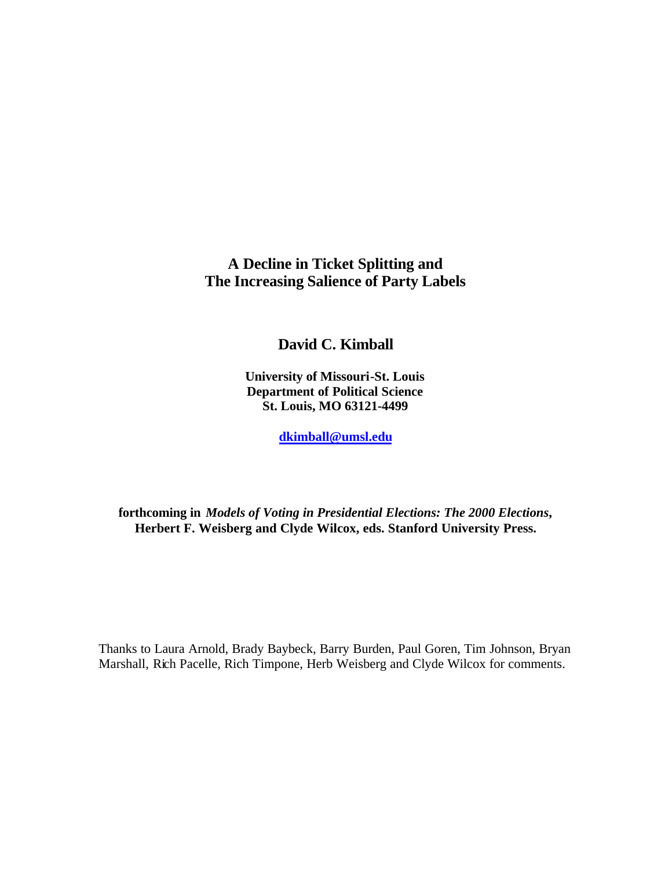**A Decline in Ticket Splitting and The Increasing Salience of Party Labels**

**David C. Kimball**

**University of Missouri-St. Louis Department of Political Science St. Louis, MO 63121-4499**

**dkimball@umsl.edu**

**forthcoming in** *Models of Voting in Presidential Elections: The 2000 Elections***, Herbert F. Weisberg and Clyde Wilcox, eds. Stanford University Press.**

Thanks to Laura Arnold, Brady Baybeck, Barry Burden, Paul Goren, Tim Johnson, Bryan Marshall, Rich Pacelle, Rich Timpone, Herb Weisberg and Clyde Wilcox for comments.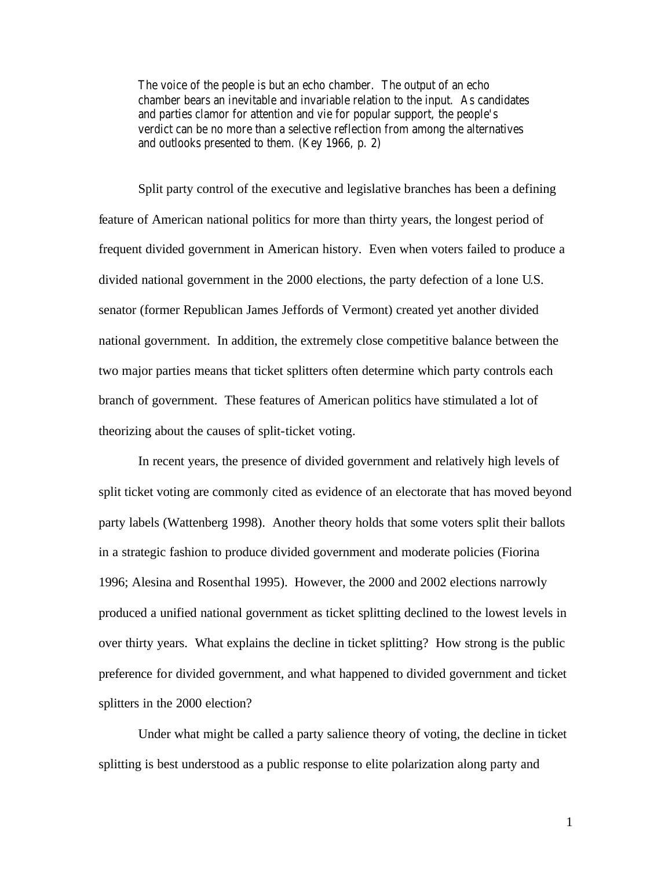The voice of the people is but an echo chamber. The output of an echo chamber bears an inevitable and invariable relation to the input. As candidates and parties clamor for attention and vie for popular support, the people's verdict can be no more than a selective reflection from among the alternatives and outlooks presented to them. (Key 1966, p. 2)

Split party control of the executive and legislative branches has been a defining feature of American national politics for more than thirty years, the longest period of frequent divided government in American history. Even when voters failed to produce a divided national government in the 2000 elections, the party defection of a lone U.S. senator (former Republican James Jeffords of Vermont) created yet another divided national government. In addition, the extremely close competitive balance between the two major parties means that ticket splitters often determine which party controls each branch of government. These features of American politics have stimulated a lot of theorizing about the causes of split-ticket voting.

In recent years, the presence of divided government and relatively high levels of split ticket voting are commonly cited as evidence of an electorate that has moved beyond party labels (Wattenberg 1998). Another theory holds that some voters split their ballots in a strategic fashion to produce divided government and moderate policies (Fiorina 1996; Alesina and Rosenthal 1995). However, the 2000 and 2002 elections narrowly produced a unified national government as ticket splitting declined to the lowest levels in over thirty years. What explains the decline in ticket splitting? How strong is the public preference for divided government, and what happened to divided government and ticket splitters in the 2000 election?

Under what might be called a party salience theory of voting, the decline in ticket splitting is best understood as a public response to elite polarization along party and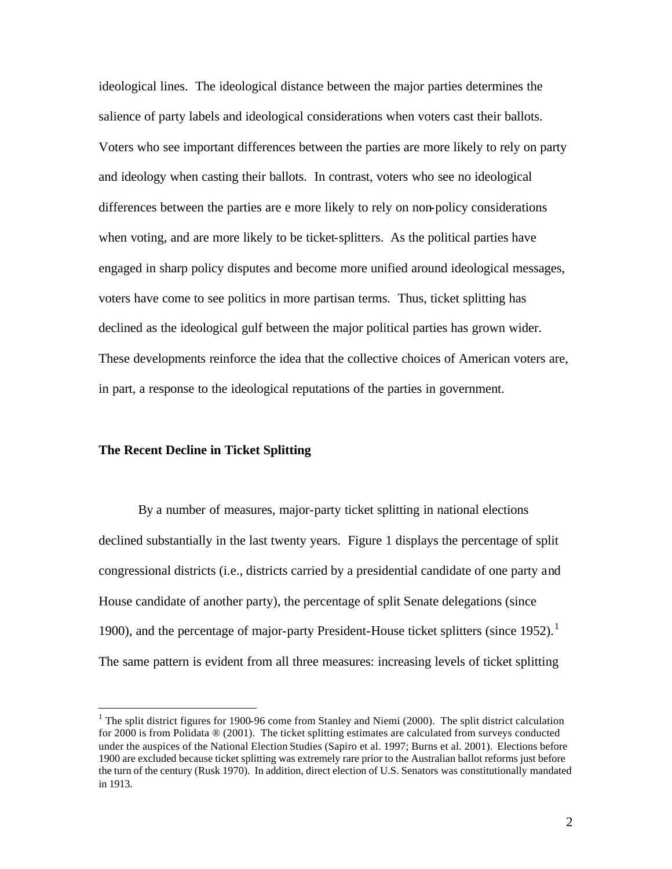ideological lines. The ideological distance between the major parties determines the salience of party labels and ideological considerations when voters cast their ballots. Voters who see important differences between the parties are more likely to rely on party and ideology when casting their ballots. In contrast, voters who see no ideological differences between the parties are e more likely to rely on non-policy considerations when voting, and are more likely to be ticket-splitters. As the political parties have engaged in sharp policy disputes and become more unified around ideological messages, voters have come to see politics in more partisan terms. Thus, ticket splitting has declined as the ideological gulf between the major political parties has grown wider. These developments reinforce the idea that the collective choices of American voters are, in part, a response to the ideological reputations of the parties in government.

### **The Recent Decline in Ticket Splitting**

 $\overline{a}$ 

By a number of measures, major-party ticket splitting in national elections declined substantially in the last twenty years. Figure 1 displays the percentage of split congressional districts (i.e., districts carried by a presidential candidate of one party and House candidate of another party), the percentage of split Senate delegations (since 1900), and the percentage of major-party President-House ticket splitters (since  $1952$ ).<sup>1</sup> The same pattern is evident from all three measures: increasing levels of ticket splitting

<sup>&</sup>lt;sup>1</sup> The split district figures for 1900-96 come from Stanley and Niemi (2000). The split district calculation for 2000 is from Polidata ® (2001). The ticket splitting estimates are calculated from surveys conducted under the auspices of the National Election Studies (Sapiro et al. 1997; Burns et al. 2001). Elections before 1900 are excluded because ticket splitting was extremely rare prior to the Australian ballot reforms just before the turn of the century (Rusk 1970). In addition, direct election of U.S. Senators was constitutionally mandated in 1913.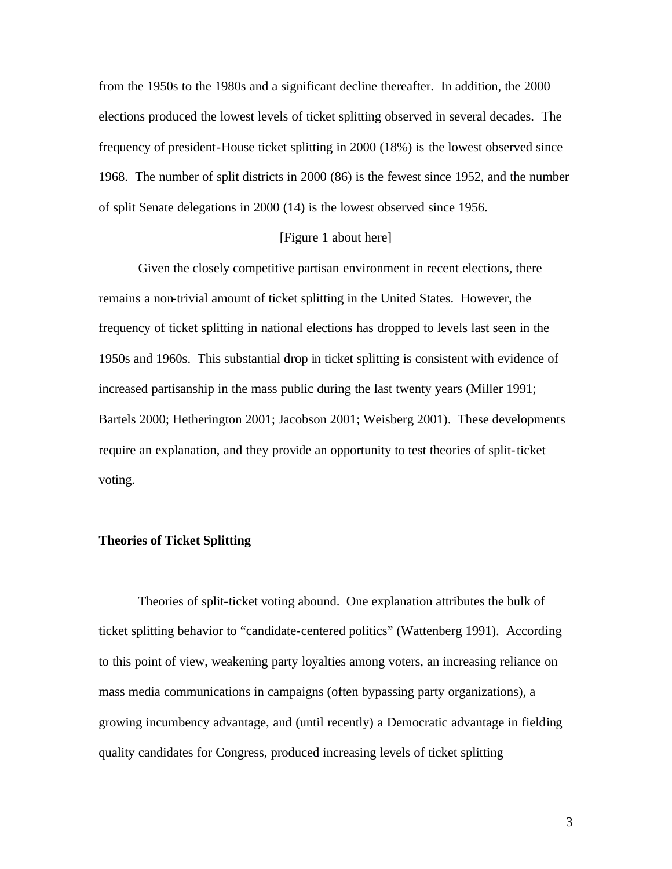from the 1950s to the 1980s and a significant decline thereafter. In addition, the 2000 elections produced the lowest levels of ticket splitting observed in several decades. The frequency of president-House ticket splitting in 2000 (18%) is the lowest observed since 1968. The number of split districts in 2000 (86) is the fewest since 1952, and the number of split Senate delegations in 2000 (14) is the lowest observed since 1956.

## [Figure 1 about here]

Given the closely competitive partisan environment in recent elections, there remains a non-trivial amount of ticket splitting in the United States. However, the frequency of ticket splitting in national elections has dropped to levels last seen in the 1950s and 1960s. This substantial drop in ticket splitting is consistent with evidence of increased partisanship in the mass public during the last twenty years (Miller 1991; Bartels 2000; Hetherington 2001; Jacobson 2001; Weisberg 2001). These developments require an explanation, and they provide an opportunity to test theories of split-ticket voting.

## **Theories of Ticket Splitting**

Theories of split-ticket voting abound. One explanation attributes the bulk of ticket splitting behavior to "candidate-centered politics" (Wattenberg 1991). According to this point of view, weakening party loyalties among voters, an increasing reliance on mass media communications in campaigns (often bypassing party organizations), a growing incumbency advantage, and (until recently) a Democratic advantage in fielding quality candidates for Congress, produced increasing levels of ticket splitting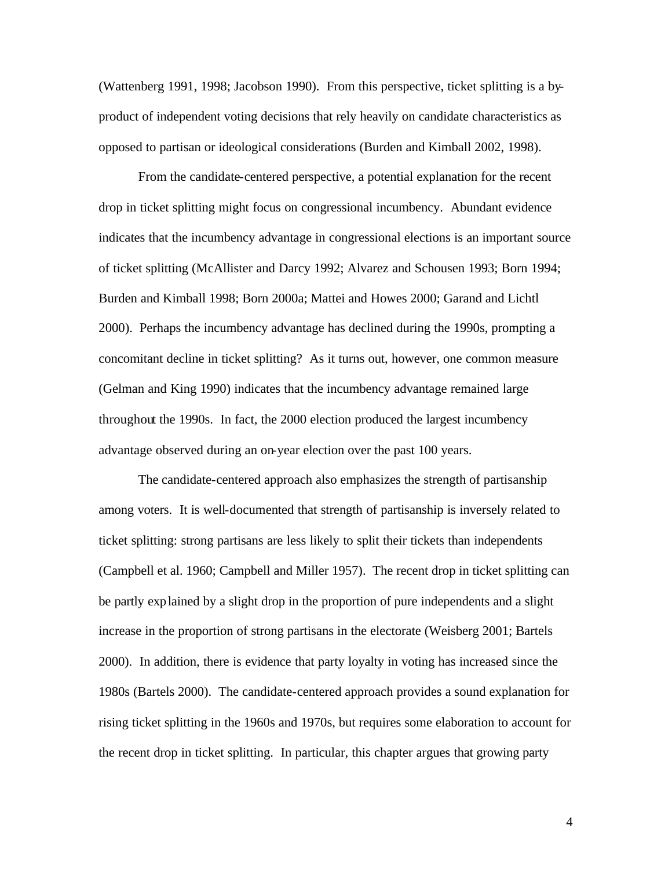(Wattenberg 1991, 1998; Jacobson 1990). From this perspective, ticket splitting is a byproduct of independent voting decisions that rely heavily on candidate characteristics as opposed to partisan or ideological considerations (Burden and Kimball 2002, 1998).

From the candidate-centered perspective, a potential explanation for the recent drop in ticket splitting might focus on congressional incumbency. Abundant evidence indicates that the incumbency advantage in congressional elections is an important source of ticket splitting (McAllister and Darcy 1992; Alvarez and Schousen 1993; Born 1994; Burden and Kimball 1998; Born 2000a; Mattei and Howes 2000; Garand and Lichtl 2000). Perhaps the incumbency advantage has declined during the 1990s, prompting a concomitant decline in ticket splitting? As it turns out, however, one common measure (Gelman and King 1990) indicates that the incumbency advantage remained large throughout the 1990s. In fact, the 2000 election produced the largest incumbency advantage observed during an on-year election over the past 100 years.

The candidate-centered approach also emphasizes the strength of partisanship among voters. It is well-documented that strength of partisanship is inversely related to ticket splitting: strong partisans are less likely to split their tickets than independents (Campbell et al. 1960; Campbell and Miller 1957). The recent drop in ticket splitting can be partly explained by a slight drop in the proportion of pure independents and a slight increase in the proportion of strong partisans in the electorate (Weisberg 2001; Bartels 2000). In addition, there is evidence that party loyalty in voting has increased since the 1980s (Bartels 2000). The candidate-centered approach provides a sound explanation for rising ticket splitting in the 1960s and 1970s, but requires some elaboration to account for the recent drop in ticket splitting. In particular, this chapter argues that growing party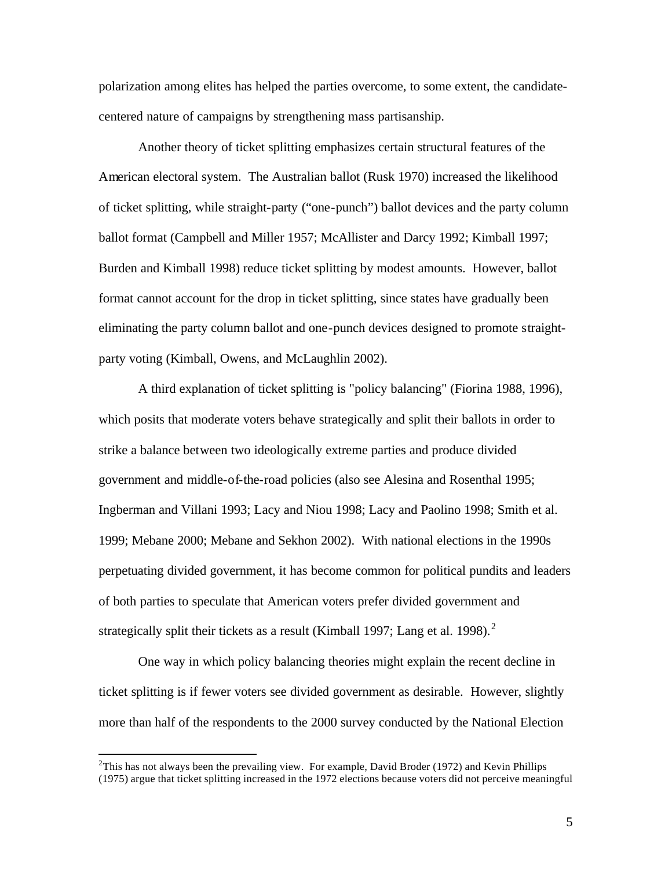polarization among elites has helped the parties overcome, to some extent, the candidatecentered nature of campaigns by strengthening mass partisanship.

Another theory of ticket splitting emphasizes certain structural features of the American electoral system. The Australian ballot (Rusk 1970) increased the likelihood of ticket splitting, while straight-party ("one-punch") ballot devices and the party column ballot format (Campbell and Miller 1957; McAllister and Darcy 1992; Kimball 1997; Burden and Kimball 1998) reduce ticket splitting by modest amounts. However, ballot format cannot account for the drop in ticket splitting, since states have gradually been eliminating the party column ballot and one-punch devices designed to promote straightparty voting (Kimball, Owens, and McLaughlin 2002).

A third explanation of ticket splitting is "policy balancing" (Fiorina 1988, 1996), which posits that moderate voters behave strategically and split their ballots in order to strike a balance between two ideologically extreme parties and produce divided government and middle-of-the-road policies (also see Alesina and Rosenthal 1995; Ingberman and Villani 1993; Lacy and Niou 1998; Lacy and Paolino 1998; Smith et al. 1999; Mebane 2000; Mebane and Sekhon 2002). With national elections in the 1990s perpetuating divided government, it has become common for political pundits and leaders of both parties to speculate that American voters prefer divided government and strategically split their tickets as a result (Kimball 1997; Lang et al. 1998).<sup>2</sup>

One way in which policy balancing theories might explain the recent decline in ticket splitting is if fewer voters see divided government as desirable. However, slightly more than half of the respondents to the 2000 survey conducted by the National Election

<sup>&</sup>lt;sup>2</sup>This has not always been the prevailing view. For example, David Broder (1972) and Kevin Phillips (1975) argue that ticket splitting increased in the 1972 elections because voters did not perceive meaningful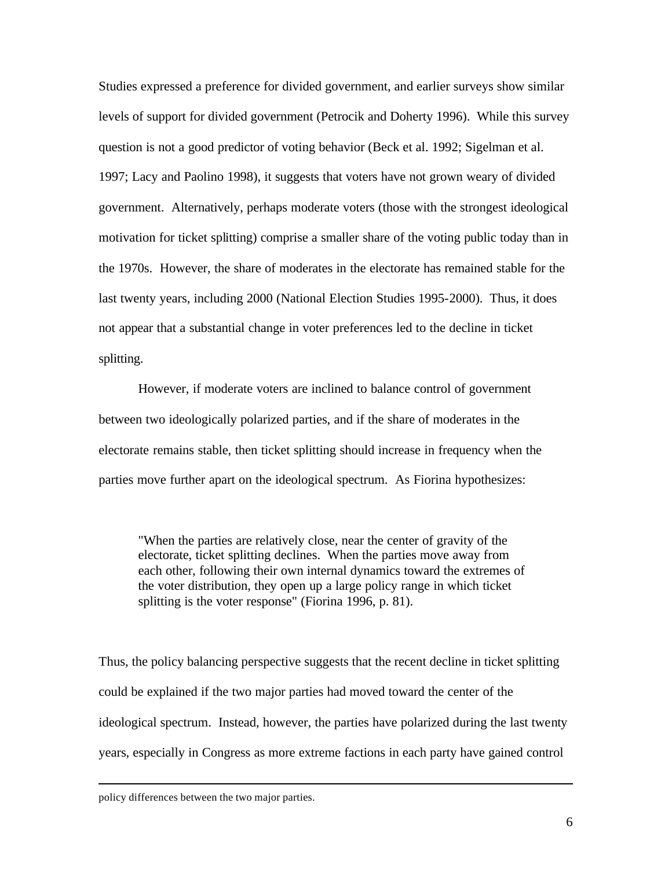Studies expressed a preference for divided government, and earlier surveys show similar levels of support for divided government (Petrocik and Doherty 1996). While this survey question is not a good predictor of voting behavior (Beck et al. 1992; Sigelman et al. 1997; Lacy and Paolino 1998), it suggests that voters have not grown weary of divided government. Alternatively, perhaps moderate voters (those with the strongest ideological motivation for ticket splitting) comprise a smaller share of the voting public today than in the 1970s. However, the share of moderates in the electorate has remained stable for the last twenty years, including 2000 (National Election Studies 1995-2000). Thus, it does not appear that a substantial change in voter preferences led to the decline in ticket splitting.

However, if moderate voters are inclined to balance control of government between two ideologically polarized parties, and if the share of moderates in the electorate remains stable, then ticket splitting should increase in frequency when the parties move further apart on the ideological spectrum. As Fiorina hypothesizes:

"When the parties are relatively close, near the center of gravity of the electorate, ticket splitting declines. When the parties move away from each other, following their own internal dynamics toward the extremes of the voter distribution, they open up a large policy range in which ticket splitting is the voter response" (Fiorina 1996, p. 81).

Thus, the policy balancing perspective suggests that the recent decline in ticket splitting could be explained if the two major parties had moved toward the center of the ideological spectrum. Instead, however, the parties have polarized during the last twenty years, especially in Congress as more extreme factions in each party have gained control

policy differences between the two major parties.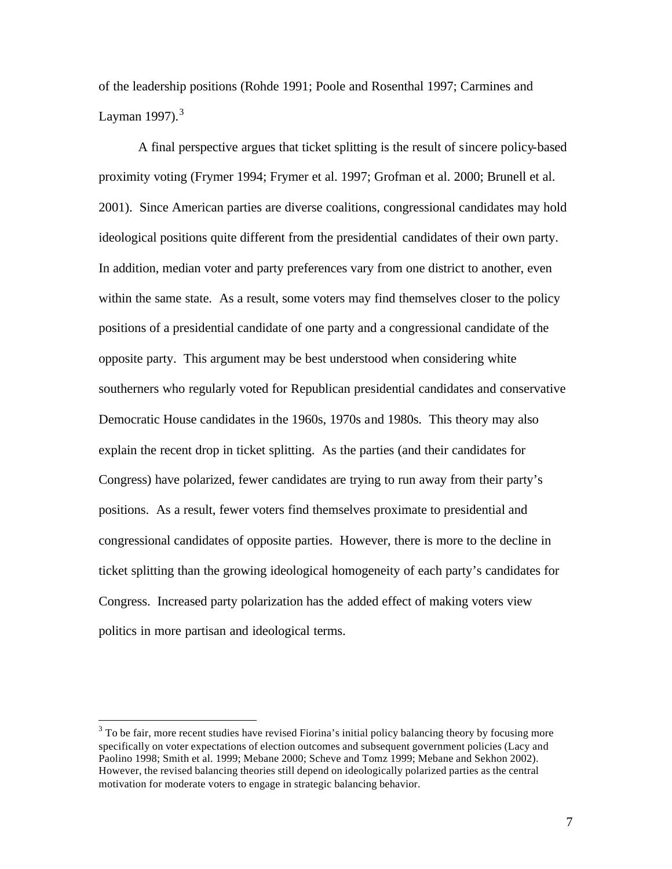of the leadership positions (Rohde 1991; Poole and Rosenthal 1997; Carmines and Layman  $1997$ ).<sup>3</sup>

A final perspective argues that ticket splitting is the result of sincere policy-based proximity voting (Frymer 1994; Frymer et al. 1997; Grofman et al. 2000; Brunell et al. 2001). Since American parties are diverse coalitions, congressional candidates may hold ideological positions quite different from the presidential candidates of their own party. In addition, median voter and party preferences vary from one district to another, even within the same state. As a result, some voters may find themselves closer to the policy positions of a presidential candidate of one party and a congressional candidate of the opposite party. This argument may be best understood when considering white southerners who regularly voted for Republican presidential candidates and conservative Democratic House candidates in the 1960s, 1970s and 1980s. This theory may also explain the recent drop in ticket splitting. As the parties (and their candidates for Congress) have polarized, fewer candidates are trying to run away from their party's positions. As a result, fewer voters find themselves proximate to presidential and congressional candidates of opposite parties. However, there is more to the decline in ticket splitting than the growing ideological homogeneity of each party's candidates for Congress. Increased party polarization has the added effect of making voters view politics in more partisan and ideological terms.

 $3$  To be fair, more recent studies have revised Fiorina's initial policy balancing theory by focusing more specifically on voter expectations of election outcomes and subsequent government policies (Lacy and Paolino 1998; Smith et al. 1999; Mebane 2000; Scheve and Tomz 1999; Mebane and Sekhon 2002). However, the revised balancing theories still depend on ideologically polarized parties as the central motivation for moderate voters to engage in strategic balancing behavior.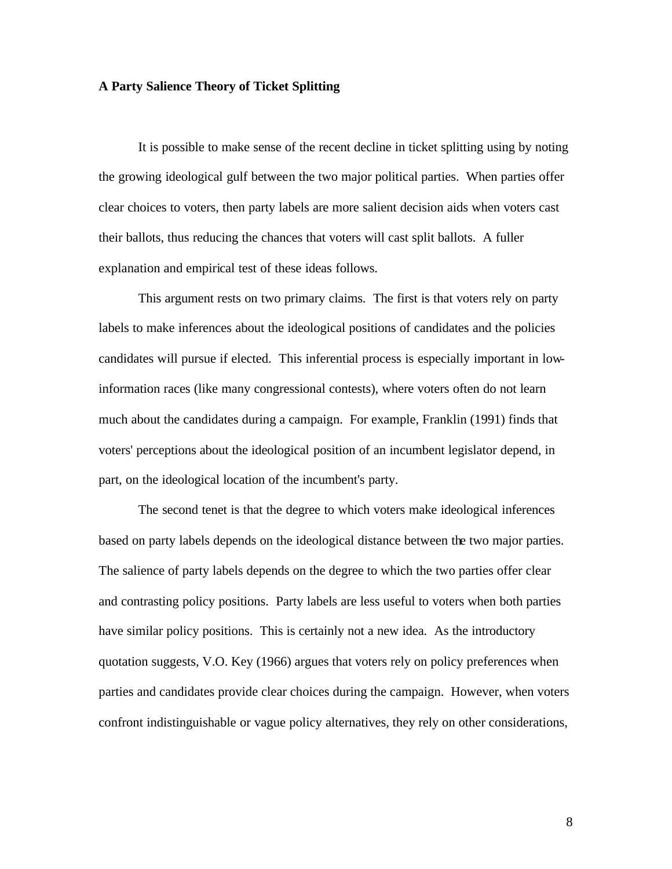### **A Party Salience Theory of Ticket Splitting**

It is possible to make sense of the recent decline in ticket splitting using by noting the growing ideological gulf between the two major political parties. When parties offer clear choices to voters, then party labels are more salient decision aids when voters cast their ballots, thus reducing the chances that voters will cast split ballots. A fuller explanation and empirical test of these ideas follows.

This argument rests on two primary claims. The first is that voters rely on party labels to make inferences about the ideological positions of candidates and the policies candidates will pursue if elected. This inferential process is especially important in lowinformation races (like many congressional contests), where voters often do not learn much about the candidates during a campaign. For example, Franklin (1991) finds that voters' perceptions about the ideological position of an incumbent legislator depend, in part, on the ideological location of the incumbent's party.

The second tenet is that the degree to which voters make ideological inferences based on party labels depends on the ideological distance between the two major parties. The salience of party labels depends on the degree to which the two parties offer clear and contrasting policy positions. Party labels are less useful to voters when both parties have similar policy positions. This is certainly not a new idea. As the introductory quotation suggests, V.O. Key (1966) argues that voters rely on policy preferences when parties and candidates provide clear choices during the campaign. However, when voters confront indistinguishable or vague policy alternatives, they rely on other considerations,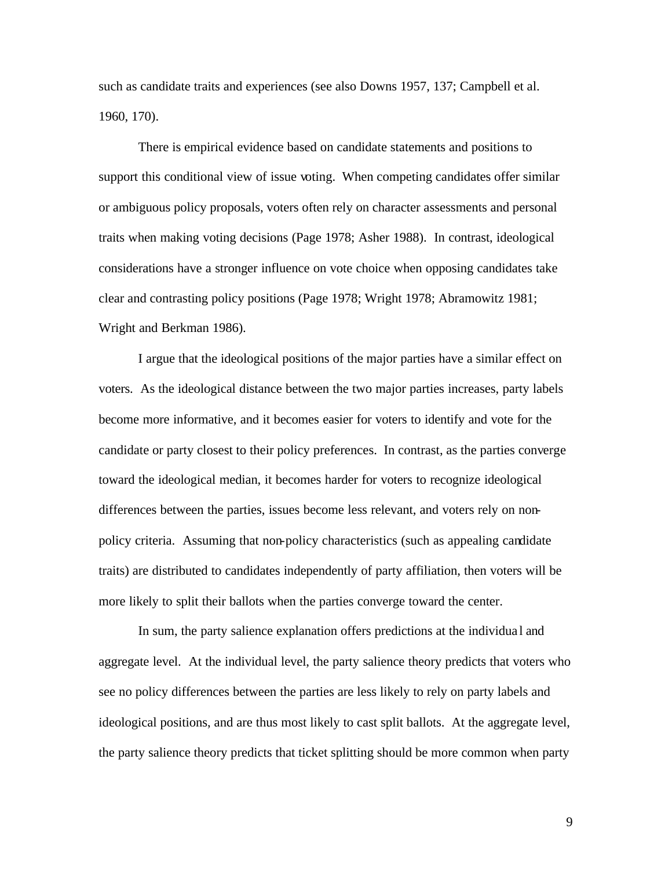such as candidate traits and experiences (see also Downs 1957, 137; Campbell et al. 1960, 170).

There is empirical evidence based on candidate statements and positions to support this conditional view of issue voting. When competing candidates offer similar or ambiguous policy proposals, voters often rely on character assessments and personal traits when making voting decisions (Page 1978; Asher 1988). In contrast, ideological considerations have a stronger influence on vote choice when opposing candidates take clear and contrasting policy positions (Page 1978; Wright 1978; Abramowitz 1981; Wright and Berkman 1986).

I argue that the ideological positions of the major parties have a similar effect on voters. As the ideological distance between the two major parties increases, party labels become more informative, and it becomes easier for voters to identify and vote for the candidate or party closest to their policy preferences. In contrast, as the parties converge toward the ideological median, it becomes harder for voters to recognize ideological differences between the parties, issues become less relevant, and voters rely on nonpolicy criteria. Assuming that non-policy characteristics (such as appealing candidate traits) are distributed to candidates independently of party affiliation, then voters will be more likely to split their ballots when the parties converge toward the center.

In sum, the party salience explanation offers predictions at the individua l and aggregate level. At the individual level, the party salience theory predicts that voters who see no policy differences between the parties are less likely to rely on party labels and ideological positions, and are thus most likely to cast split ballots. At the aggregate level, the party salience theory predicts that ticket splitting should be more common when party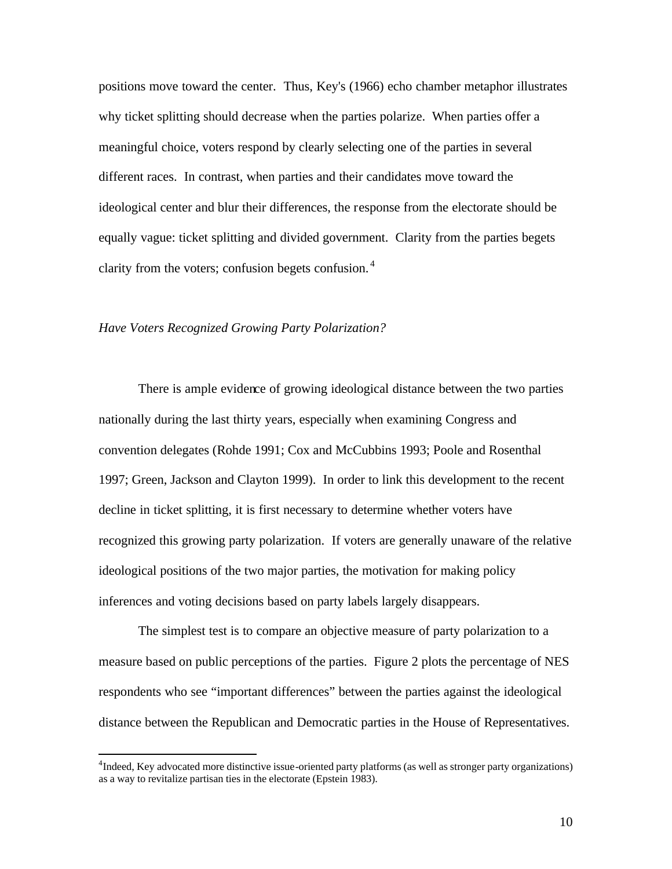positions move toward the center. Thus, Key's (1966) echo chamber metaphor illustrates why ticket splitting should decrease when the parties polarize. When parties offer a meaningful choice, voters respond by clearly selecting one of the parties in several different races. In contrast, when parties and their candidates move toward the ideological center and blur their differences, the response from the electorate should be equally vague: ticket splitting and divided government. Clarity from the parties begets clarity from the voters; confusion begets confusion. <sup>4</sup>

## *Have Voters Recognized Growing Party Polarization?*

 $\overline{a}$ 

There is ample evidence of growing ideological distance between the two parties nationally during the last thirty years, especially when examining Congress and convention delegates (Rohde 1991; Cox and McCubbins 1993; Poole and Rosenthal 1997; Green, Jackson and Clayton 1999). In order to link this development to the recent decline in ticket splitting, it is first necessary to determine whether voters have recognized this growing party polarization. If voters are generally unaware of the relative ideological positions of the two major parties, the motivation for making policy inferences and voting decisions based on party labels largely disappears.

The simplest test is to compare an objective measure of party polarization to a measure based on public perceptions of the parties. Figure 2 plots the percentage of NES respondents who see "important differences" between the parties against the ideological distance between the Republican and Democratic parties in the House of Representatives.

<sup>&</sup>lt;sup>4</sup>Indeed, Key advocated more distinctive issue-oriented party platforms (as well as stronger party organizations) as a way to revitalize partisan ties in the electorate (Epstein 1983).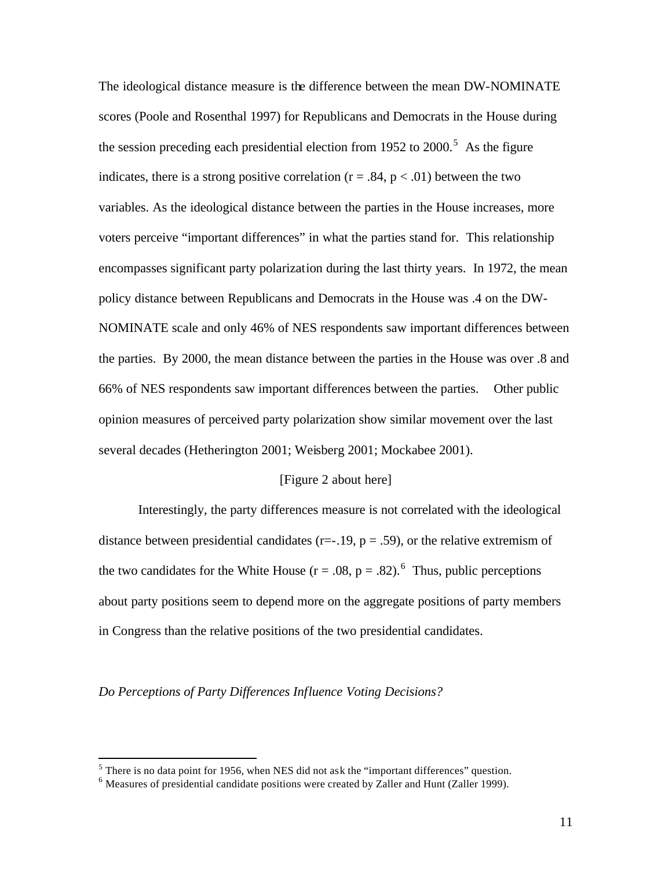The ideological distance measure is the difference between the mean DW-NOMINATE scores (Poole and Rosenthal 1997) for Republicans and Democrats in the House during the session preceding each presidential election from 1952 to  $2000$ .<sup>5</sup> As the figure indicates, there is a strong positive correlation ( $r = .84$ ,  $p < .01$ ) between the two variables. As the ideological distance between the parties in the House increases, more voters perceive "important differences" in what the parties stand for. This relationship encompasses significant party polarization during the last thirty years. In 1972, the mean policy distance between Republicans and Democrats in the House was .4 on the DW-NOMINATE scale and only 46% of NES respondents saw important differences between the parties. By 2000, the mean distance between the parties in the House was over .8 and 66% of NES respondents saw important differences between the parties. Other public opinion measures of perceived party polarization show similar movement over the last several decades (Hetherington 2001; Weisberg 2001; Mockabee 2001).

## [Figure 2 about here]

Interestingly, the party differences measure is not correlated with the ideological distance between presidential candidates ( $r=-19$ ,  $p=.59$ ), or the relative extremism of the two candidates for the White House ( $r = .08$ ,  $p = .82$ ).<sup>6</sup> Thus, public perceptions about party positions seem to depend more on the aggregate positions of party members in Congress than the relative positions of the two presidential candidates.

### *Do Perceptions of Party Differences Influence Voting Decisions?*

 $<sup>5</sup>$  There is no data point for 1956, when NES did not ask the "important differences" question.</sup>

 $<sup>6</sup>$  Measures of presidential candidate positions were created by Zaller and Hunt (Zaller 1999).</sup>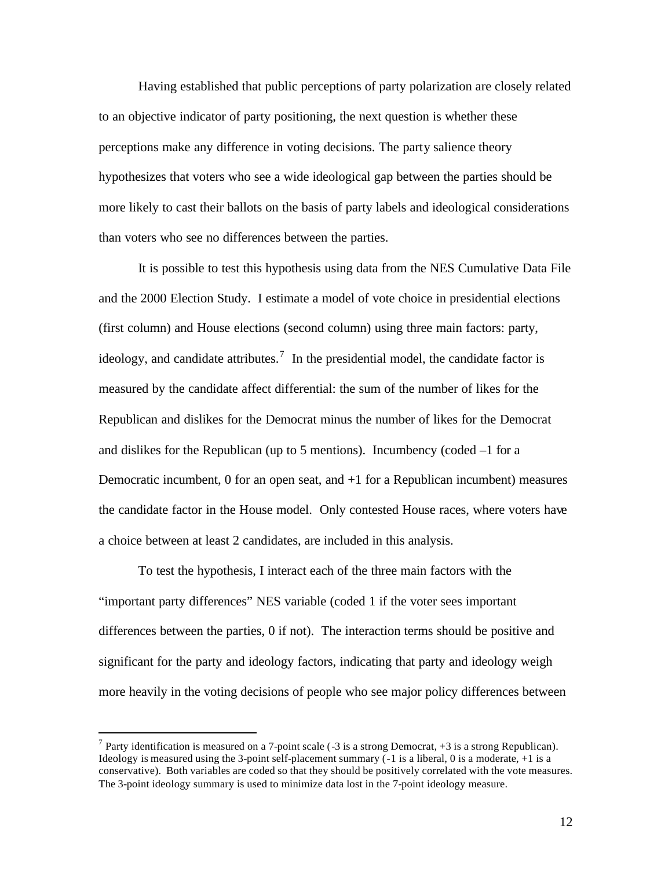Having established that public perceptions of party polarization are closely related to an objective indicator of party positioning, the next question is whether these perceptions make any difference in voting decisions. The party salience theory hypothesizes that voters who see a wide ideological gap between the parties should be more likely to cast their ballots on the basis of party labels and ideological considerations than voters who see no differences between the parties.

It is possible to test this hypothesis using data from the NES Cumulative Data File and the 2000 Election Study. I estimate a model of vote choice in presidential elections (first column) and House elections (second column) using three main factors: party, ideology, and candidate attributes.<sup>7</sup> In the presidential model, the candidate factor is measured by the candidate affect differential: the sum of the number of likes for the Republican and dislikes for the Democrat minus the number of likes for the Democrat and dislikes for the Republican (up to 5 mentions). Incumbency (coded  $-1$  for a Democratic incumbent, 0 for an open seat, and +1 for a Republican incumbent) measures the candidate factor in the House model. Only contested House races, where voters have a choice between at least 2 candidates, are included in this analysis.

To test the hypothesis, I interact each of the three main factors with the "important party differences" NES variable (coded 1 if the voter sees important differences between the parties, 0 if not). The interaction terms should be positive and significant for the party and ideology factors, indicating that party and ideology weigh more heavily in the voting decisions of people who see major policy differences between

<sup>&</sup>lt;sup>7</sup> Party identification is measured on a 7-point scale (-3 is a strong Democrat, +3 is a strong Republican). Ideology is measured using the 3-point self-placement summary (-1 is a liberal, 0 is a moderate, +1 is a conservative). Both variables are coded so that they should be positively correlated with the vote measures. The 3-point ideology summary is used to minimize data lost in the 7-point ideology measure.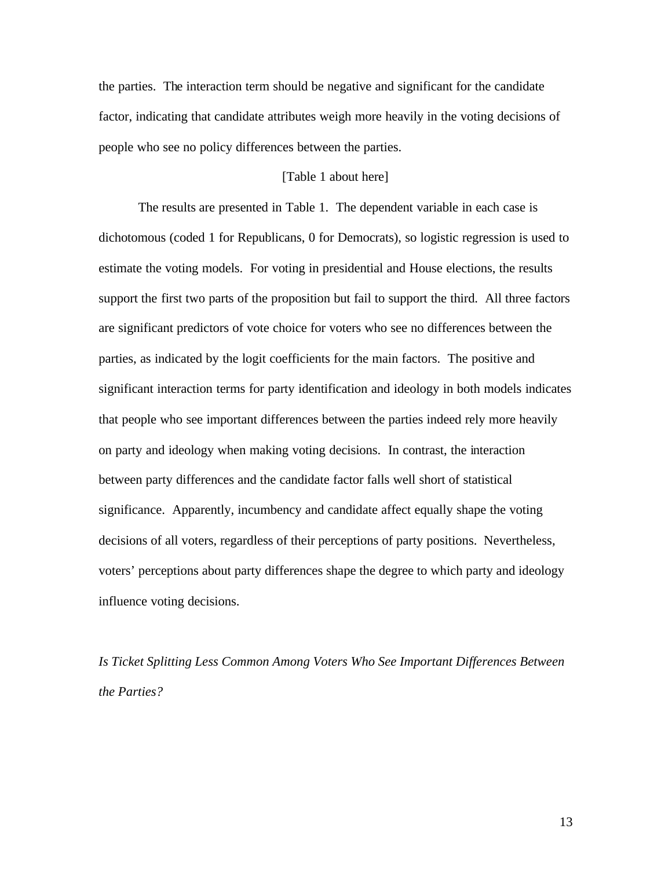the parties. The interaction term should be negative and significant for the candidate factor, indicating that candidate attributes weigh more heavily in the voting decisions of people who see no policy differences between the parties.

## [Table 1 about here]

The results are presented in Table 1. The dependent variable in each case is dichotomous (coded 1 for Republicans, 0 for Democrats), so logistic regression is used to estimate the voting models. For voting in presidential and House elections, the results support the first two parts of the proposition but fail to support the third. All three factors are significant predictors of vote choice for voters who see no differences between the parties, as indicated by the logit coefficients for the main factors. The positive and significant interaction terms for party identification and ideology in both models indicates that people who see important differences between the parties indeed rely more heavily on party and ideology when making voting decisions. In contrast, the interaction between party differences and the candidate factor falls well short of statistical significance. Apparently, incumbency and candidate affect equally shape the voting decisions of all voters, regardless of their perceptions of party positions. Nevertheless, voters' perceptions about party differences shape the degree to which party and ideology influence voting decisions.

*Is Ticket Splitting Less Common Among Voters Who See Important Differences Between the Parties?*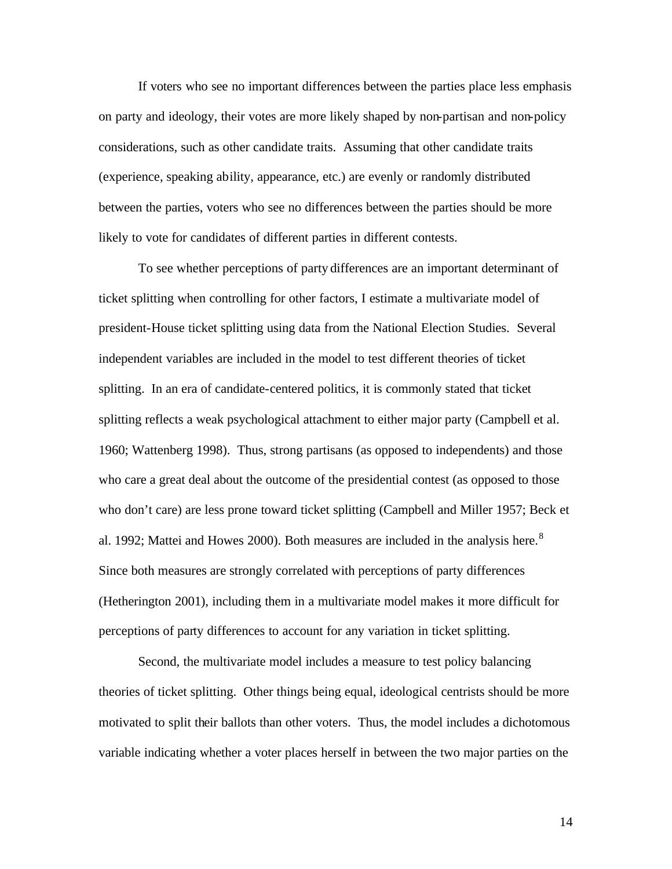If voters who see no important differences between the parties place less emphasis on party and ideology, their votes are more likely shaped by non-partisan and non-policy considerations, such as other candidate traits. Assuming that other candidate traits (experience, speaking ability, appearance, etc.) are evenly or randomly distributed between the parties, voters who see no differences between the parties should be more likely to vote for candidates of different parties in different contests.

To see whether perceptions of party differences are an important determinant of ticket splitting when controlling for other factors, I estimate a multivariate model of president-House ticket splitting using data from the National Election Studies. Several independent variables are included in the model to test different theories of ticket splitting. In an era of candidate-centered politics, it is commonly stated that ticket splitting reflects a weak psychological attachment to either major party (Campbell et al. 1960; Wattenberg 1998). Thus, strong partisans (as opposed to independents) and those who care a great deal about the outcome of the presidential contest (as opposed to those who don't care) are less prone toward ticket splitting (Campbell and Miller 1957; Beck et al. 1992; Mattei and Howes 2000). Both measures are included in the analysis here.<sup>8</sup> Since both measures are strongly correlated with perceptions of party differences (Hetherington 2001), including them in a multivariate model makes it more difficult for perceptions of party differences to account for any variation in ticket splitting.

Second, the multivariate model includes a measure to test policy balancing theories of ticket splitting. Other things being equal, ideological centrists should be more motivated to split their ballots than other voters. Thus, the model includes a dichotomous variable indicating whether a voter places herself in between the two major parties on the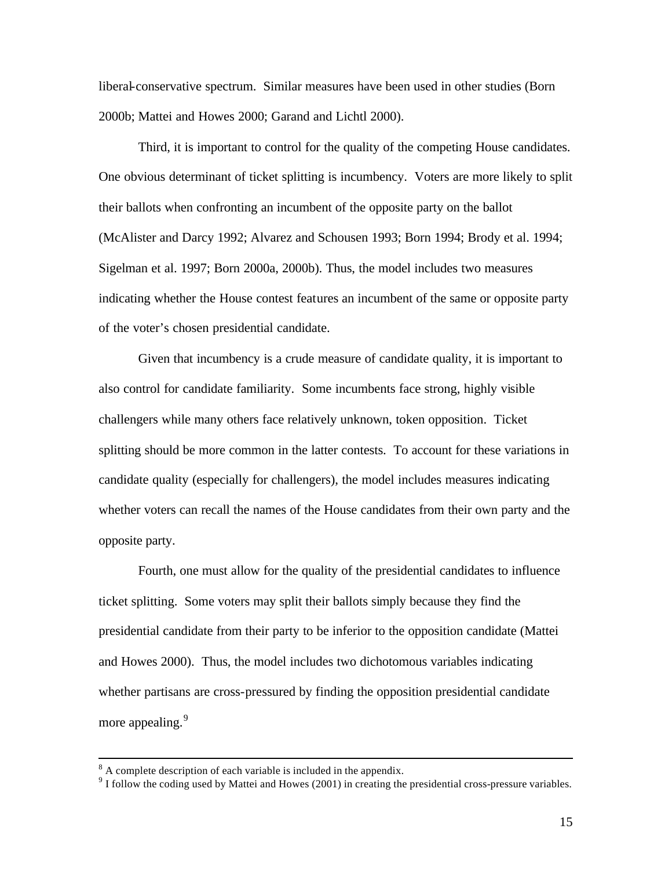liberal-conservative spectrum. Similar measures have been used in other studies (Born 2000b; Mattei and Howes 2000; Garand and Lichtl 2000).

Third, it is important to control for the quality of the competing House candidates. One obvious determinant of ticket splitting is incumbency. Voters are more likely to split their ballots when confronting an incumbent of the opposite party on the ballot (McAlister and Darcy 1992; Alvarez and Schousen 1993; Born 1994; Brody et al. 1994; Sigelman et al. 1997; Born 2000a, 2000b). Thus, the model includes two measures indicating whether the House contest features an incumbent of the same or opposite party of the voter's chosen presidential candidate.

Given that incumbency is a crude measure of candidate quality, it is important to also control for candidate familiarity. Some incumbents face strong, highly visible challengers while many others face relatively unknown, token opposition. Ticket splitting should be more common in the latter contests. To account for these variations in candidate quality (especially for challengers), the model includes measures indicating whether voters can recall the names of the House candidates from their own party and the opposite party.

Fourth, one must allow for the quality of the presidential candidates to influence ticket splitting. Some voters may split their ballots simply because they find the presidential candidate from their party to be inferior to the opposition candidate (Mattei and Howes 2000). Thus, the model includes two dichotomous variables indicating whether partisans are cross-pressured by finding the opposition presidential candidate more appealing.<sup>9</sup>

 $8<sup>8</sup>$  A complete description of each variable is included in the appendix.

<sup>&</sup>lt;sup>9</sup> I follow the coding used by Mattei and Howes (2001) in creating the presidential cross-pressure variables.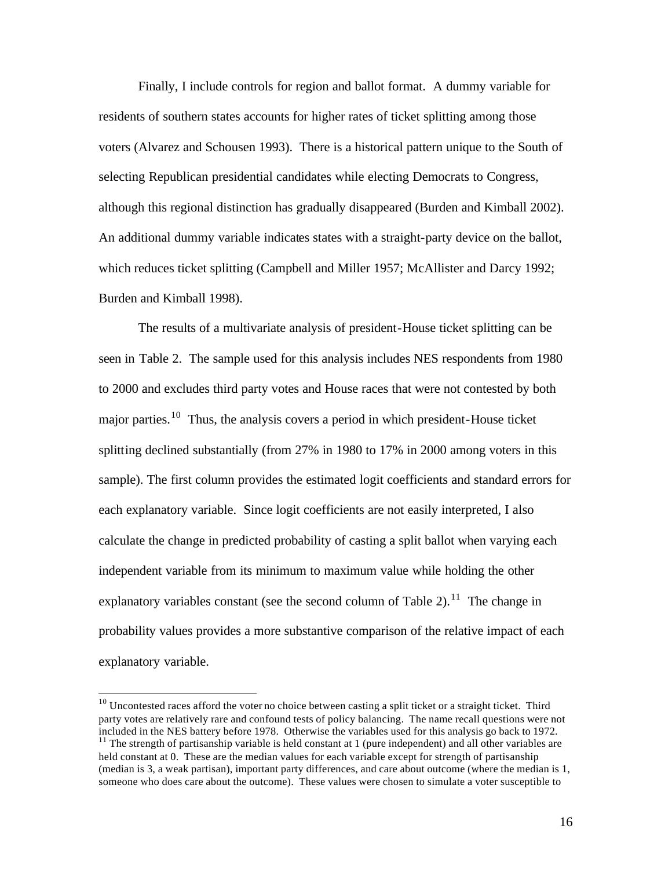Finally, I include controls for region and ballot format. A dummy variable for residents of southern states accounts for higher rates of ticket splitting among those voters (Alvarez and Schousen 1993). There is a historical pattern unique to the South of selecting Republican presidential candidates while electing Democrats to Congress, although this regional distinction has gradually disappeared (Burden and Kimball 2002). An additional dummy variable indicates states with a straight-party device on the ballot, which reduces ticket splitting (Campbell and Miller 1957; McAllister and Darcy 1992; Burden and Kimball 1998).

The results of a multivariate analysis of president-House ticket splitting can be seen in Table 2. The sample used for this analysis includes NES respondents from 1980 to 2000 and excludes third party votes and House races that were not contested by both major parties.<sup>10</sup> Thus, the analysis covers a period in which president-House ticket splitting declined substantially (from 27% in 1980 to 17% in 2000 among voters in this sample). The first column provides the estimated logit coefficients and standard errors for each explanatory variable. Since logit coefficients are not easily interpreted, I also calculate the change in predicted probability of casting a split ballot when varying each independent variable from its minimum to maximum value while holding the other explanatory variables constant (see the second column of Table 2).<sup>11</sup> The change in probability values provides a more substantive comparison of the relative impact of each explanatory variable.

 $10$  Uncontested races afford the voter no choice between casting a split ticket or a straight ticket. Third party votes are relatively rare and confound tests of policy balancing. The name recall questions were not included in the NES battery before 1978. Otherwise the variables used for this analysis go back to 1972.

<sup>&</sup>lt;sup>11</sup> The strength of partisanship variable is held constant at 1 (pure independent) and all other variables are held constant at 0. These are the median values for each variable except for strength of partisanship (median is 3, a weak partisan), important party differences, and care about outcome (where the median is 1, someone who does care about the outcome). These values were chosen to simulate a voter susceptible to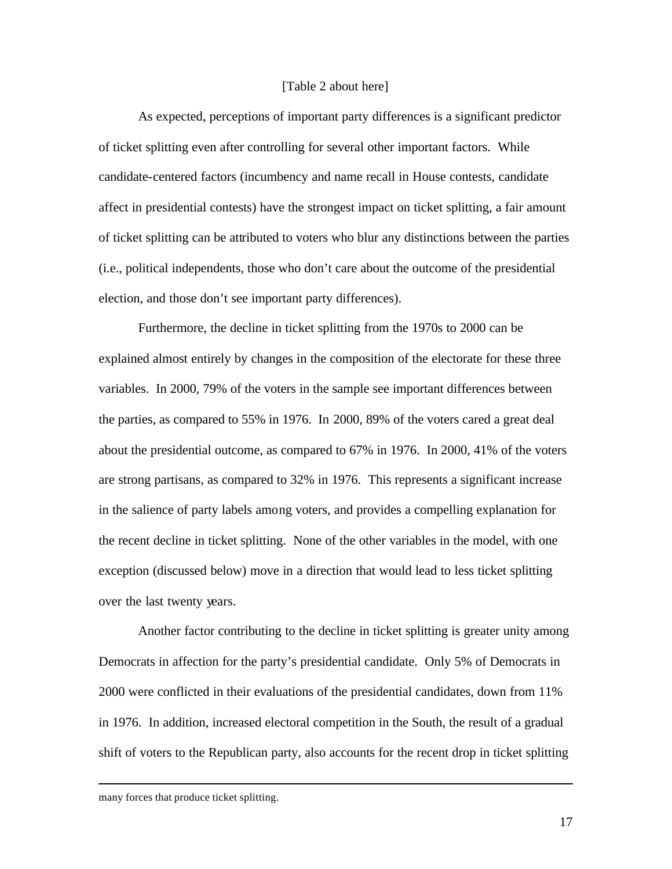#### [Table 2 about here]

As expected, perceptions of important party differences is a significant predictor of ticket splitting even after controlling for several other important factors. While candidate-centered factors (incumbency and name recall in House contests, candidate affect in presidential contests) have the strongest impact on ticket splitting, a fair amount of ticket splitting can be attributed to voters who blur any distinctions between the parties (i.e., political independents, those who don't care about the outcome of the presidential election, and those don't see important party differences).

Furthermore, the decline in ticket splitting from the 1970s to 2000 can be explained almost entirely by changes in the composition of the electorate for these three variables. In 2000, 79% of the voters in the sample see important differences between the parties, as compared to 55% in 1976. In 2000, 89% of the voters cared a great deal about the presidential outcome, as compared to 67% in 1976. In 2000, 41% of the voters are strong partisans, as compared to 32% in 1976. This represents a significant increase in the salience of party labels among voters, and provides a compelling explanation for the recent decline in ticket splitting. None of the other variables in the model, with one exception (discussed below) move in a direction that would lead to less ticket splitting over the last twenty years.

Another factor contributing to the decline in ticket splitting is greater unity among Democrats in affection for the party's presidential candidate. Only 5% of Democrats in 2000 were conflicted in their evaluations of the presidential candidates, down from 11% in 1976. In addition, increased electoral competition in the South, the result of a gradual shift of voters to the Republican party, also accounts for the recent drop in ticket splitting

many forces that produce ticket splitting.

 $\overline{a}$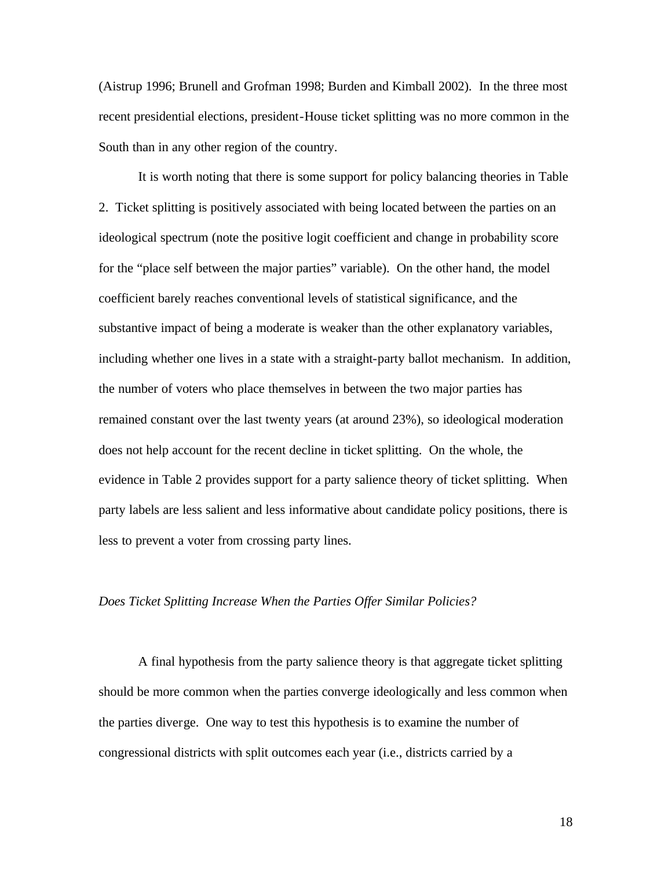(Aistrup 1996; Brunell and Grofman 1998; Burden and Kimball 2002). In the three most recent presidential elections, president-House ticket splitting was no more common in the South than in any other region of the country.

It is worth noting that there is some support for policy balancing theories in Table 2. Ticket splitting is positively associated with being located between the parties on an ideological spectrum (note the positive logit coefficient and change in probability score for the "place self between the major parties" variable). On the other hand, the model coefficient barely reaches conventional levels of statistical significance, and the substantive impact of being a moderate is weaker than the other explanatory variables, including whether one lives in a state with a straight-party ballot mechanism. In addition, the number of voters who place themselves in between the two major parties has remained constant over the last twenty years (at around 23%), so ideological moderation does not help account for the recent decline in ticket splitting. On the whole, the evidence in Table 2 provides support for a party salience theory of ticket splitting. When party labels are less salient and less informative about candidate policy positions, there is less to prevent a voter from crossing party lines.

#### *Does Ticket Splitting Increase When the Parties Offer Similar Policies?*

A final hypothesis from the party salience theory is that aggregate ticket splitting should be more common when the parties converge ideologically and less common when the parties diverge. One way to test this hypothesis is to examine the number of congressional districts with split outcomes each year (i.e., districts carried by a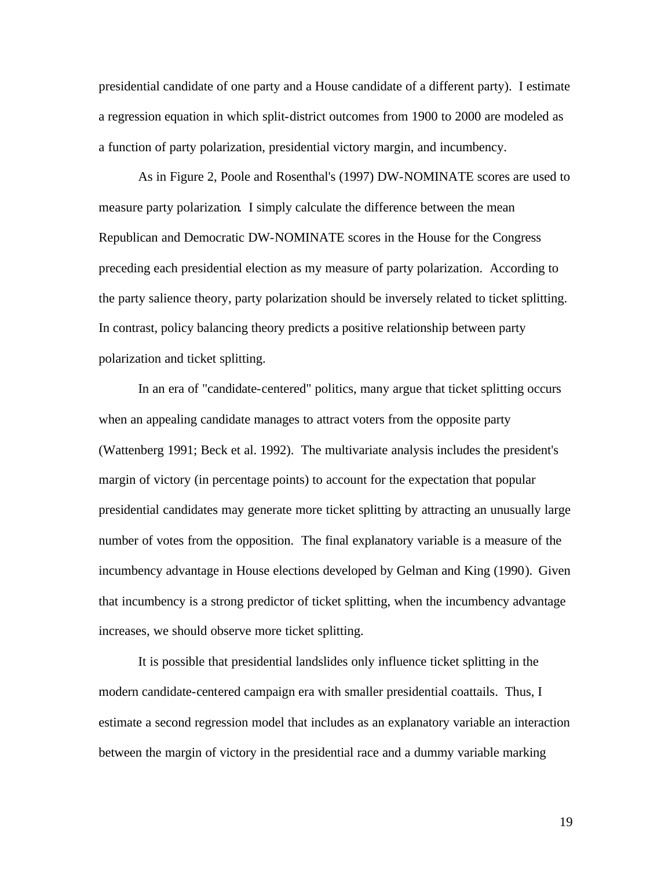presidential candidate of one party and a House candidate of a different party). I estimate a regression equation in which split-district outcomes from 1900 to 2000 are modeled as a function of party polarization, presidential victory margin, and incumbency.

As in Figure 2, Poole and Rosenthal's (1997) DW-NOMINATE scores are used to measure party polarization. I simply calculate the difference between the mean Republican and Democratic DW-NOMINATE scores in the House for the Congress preceding each presidential election as my measure of party polarization. According to the party salience theory, party polarization should be inversely related to ticket splitting. In contrast, policy balancing theory predicts a positive relationship between party polarization and ticket splitting.

In an era of "candidate-centered" politics, many argue that ticket splitting occurs when an appealing candidate manages to attract voters from the opposite party (Wattenberg 1991; Beck et al. 1992). The multivariate analysis includes the president's margin of victory (in percentage points) to account for the expectation that popular presidential candidates may generate more ticket splitting by attracting an unusually large number of votes from the opposition. The final explanatory variable is a measure of the incumbency advantage in House elections developed by Gelman and King (1990). Given that incumbency is a strong predictor of ticket splitting, when the incumbency advantage increases, we should observe more ticket splitting.

It is possible that presidential landslides only influence ticket splitting in the modern candidate-centered campaign era with smaller presidential coattails. Thus, I estimate a second regression model that includes as an explanatory variable an interaction between the margin of victory in the presidential race and a dummy variable marking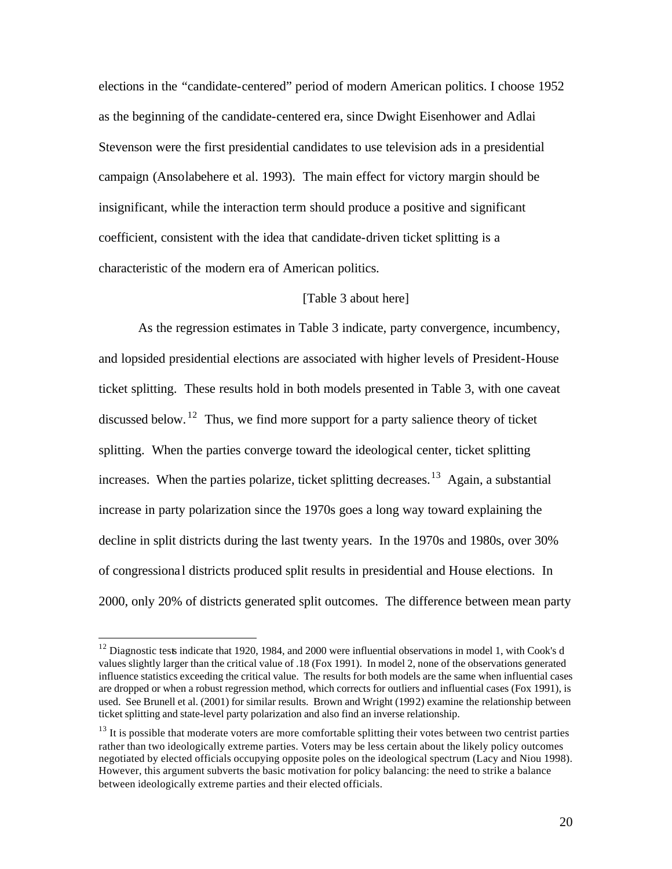elections in the "candidate-centered" period of modern American politics. I choose 1952 as the beginning of the candidate-centered era, since Dwight Eisenhower and Adlai Stevenson were the first presidential candidates to use television ads in a presidential campaign (Ansolabehere et al. 1993). The main effect for victory margin should be insignificant, while the interaction term should produce a positive and significant coefficient, consistent with the idea that candidate-driven ticket splitting is a characteristic of the modern era of American politics.

## [Table 3 about here]

As the regression estimates in Table 3 indicate, party convergence, incumbency, and lopsided presidential elections are associated with higher levels of President-House ticket splitting. These results hold in both models presented in Table 3, with one caveat discussed below. <sup>12</sup> Thus, we find more support for a party salience theory of ticket splitting. When the parties converge toward the ideological center, ticket splitting increases. When the parties polarize, ticket splitting decreases.<sup>13</sup> Again, a substantial increase in party polarization since the 1970s goes a long way toward explaining the decline in split districts during the last twenty years. In the 1970s and 1980s, over 30% of congressiona l districts produced split results in presidential and House elections. In 2000, only 20% of districts generated split outcomes. The difference between mean party

<sup>&</sup>lt;sup>12</sup> Diagnostic tests indicate that 1920, 1984, and 2000 were influential observations in model 1, with Cook's d values slightly larger than the critical value of .18 (Fox 1991). In model 2, none of the observations generated influence statistics exceeding the critical value. The results for both models are the same when influential cases are dropped or when a robust regression method, which corrects for outliers and influential cases (Fox 1991), is used. See Brunell et al. (2001) for similar results. Brown and Wright (1992) examine the relationship between ticket splitting and state-level party polarization and also find an inverse relationship.

<sup>&</sup>lt;sup>13</sup> It is possible that moderate voters are more comfortable splitting their votes between two centrist parties rather than two ideologically extreme parties. Voters may be less certain about the likely policy outcomes negotiated by elected officials occupying opposite poles on the ideological spectrum (Lacy and Niou 1998). However, this argument subverts the basic motivation for policy balancing: the need to strike a balance between ideologically extreme parties and their elected officials.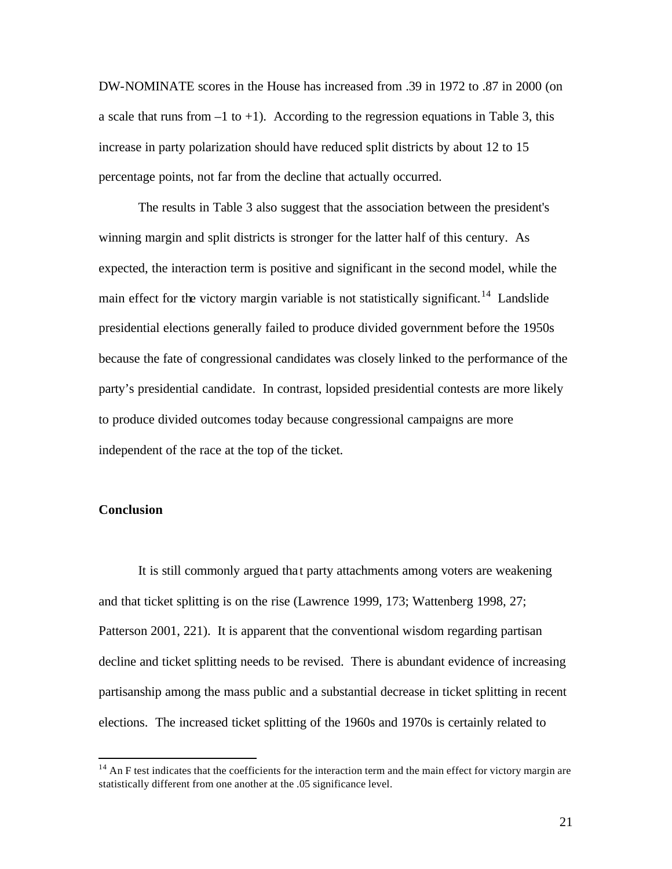DW-NOMINATE scores in the House has increased from .39 in 1972 to .87 in 2000 (on a scale that runs from  $-1$  to  $+1$ ). According to the regression equations in Table 3, this increase in party polarization should have reduced split districts by about 12 to 15 percentage points, not far from the decline that actually occurred.

The results in Table 3 also suggest that the association between the president's winning margin and split districts is stronger for the latter half of this century. As expected, the interaction term is positive and significant in the second model, while the main effect for the victory margin variable is not statistically significant.<sup>14</sup> Landslide presidential elections generally failed to produce divided government before the 1950s because the fate of congressional candidates was closely linked to the performance of the party's presidential candidate. In contrast, lopsided presidential contests are more likely to produce divided outcomes today because congressional campaigns are more independent of the race at the top of the ticket.

### **Conclusion**

 $\overline{a}$ 

It is still commonly argued tha t party attachments among voters are weakening and that ticket splitting is on the rise (Lawrence 1999, 173; Wattenberg 1998, 27; Patterson 2001, 221). It is apparent that the conventional wisdom regarding partisan decline and ticket splitting needs to be revised. There is abundant evidence of increasing partisanship among the mass public and a substantial decrease in ticket splitting in recent elections. The increased ticket splitting of the 1960s and 1970s is certainly related to

 $14$  An F test indicates that the coefficients for the interaction term and the main effect for victory margin are statistically different from one another at the .05 significance level.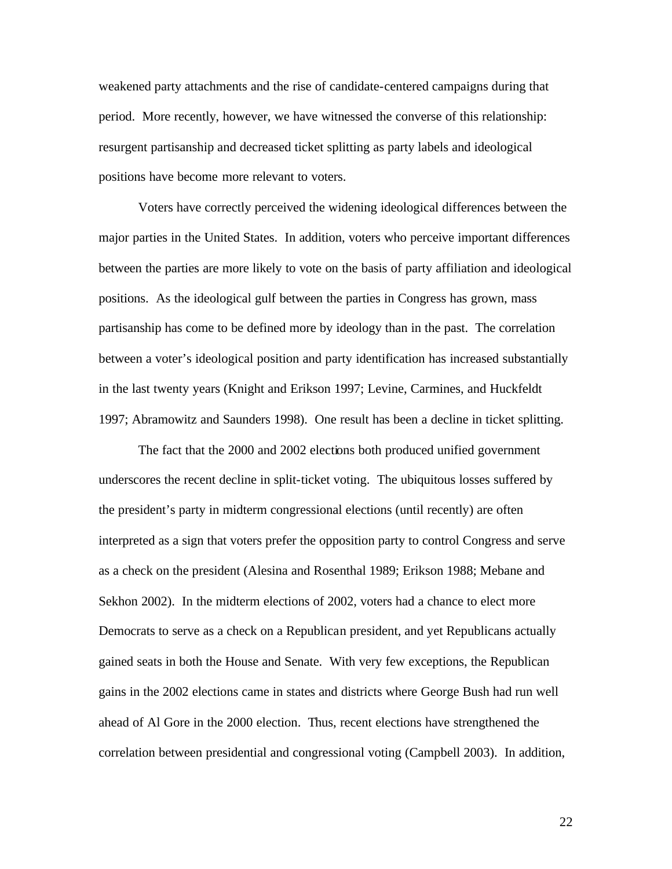weakened party attachments and the rise of candidate-centered campaigns during that period. More recently, however, we have witnessed the converse of this relationship: resurgent partisanship and decreased ticket splitting as party labels and ideological positions have become more relevant to voters.

Voters have correctly perceived the widening ideological differences between the major parties in the United States. In addition, voters who perceive important differences between the parties are more likely to vote on the basis of party affiliation and ideological positions. As the ideological gulf between the parties in Congress has grown, mass partisanship has come to be defined more by ideology than in the past. The correlation between a voter's ideological position and party identification has increased substantially in the last twenty years (Knight and Erikson 1997; Levine, Carmines, and Huckfeldt 1997; Abramowitz and Saunders 1998). One result has been a decline in ticket splitting.

The fact that the 2000 and 2002 elections both produced unified government underscores the recent decline in split-ticket voting. The ubiquitous losses suffered by the president's party in midterm congressional elections (until recently) are often interpreted as a sign that voters prefer the opposition party to control Congress and serve as a check on the president (Alesina and Rosenthal 1989; Erikson 1988; Mebane and Sekhon 2002). In the midterm elections of 2002, voters had a chance to elect more Democrats to serve as a check on a Republican president, and yet Republicans actually gained seats in both the House and Senate. With very few exceptions, the Republican gains in the 2002 elections came in states and districts where George Bush had run well ahead of Al Gore in the 2000 election. Thus, recent elections have strengthened the correlation between presidential and congressional voting (Campbell 2003). In addition,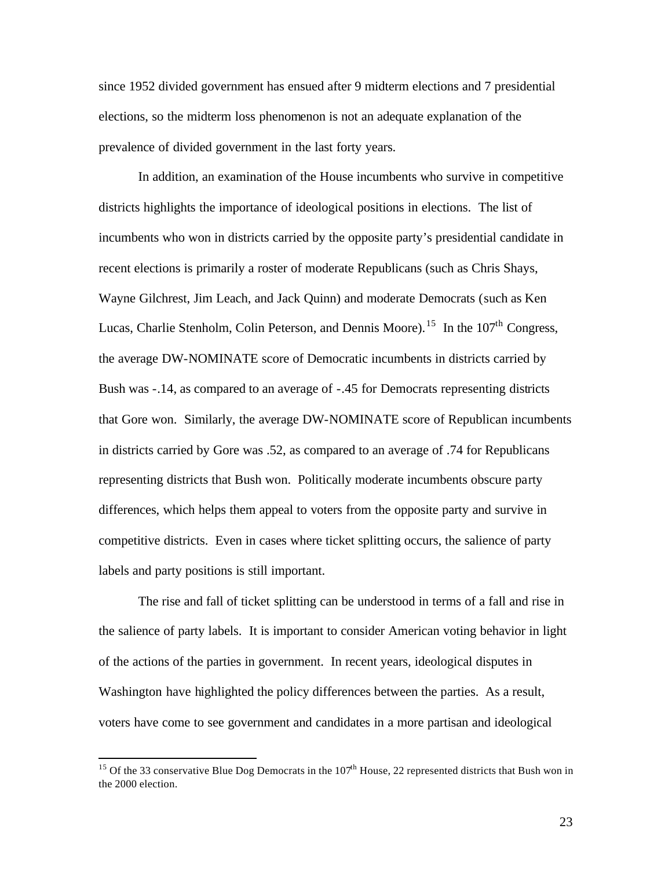since 1952 divided government has ensued after 9 midterm elections and 7 presidential elections, so the midterm loss phenomenon is not an adequate explanation of the prevalence of divided government in the last forty years.

In addition, an examination of the House incumbents who survive in competitive districts highlights the importance of ideological positions in elections. The list of incumbents who won in districts carried by the opposite party's presidential candidate in recent elections is primarily a roster of moderate Republicans (such as Chris Shays, Wayne Gilchrest, Jim Leach, and Jack Quinn) and moderate Democrats (such as Ken Lucas, Charlie Stenholm, Colin Peterson, and Dennis Moore).<sup>15</sup> In the  $107<sup>th</sup>$  Congress, the average DW-NOMINATE score of Democratic incumbents in districts carried by Bush was -.14, as compared to an average of -.45 for Democrats representing districts that Gore won. Similarly, the average DW-NOMINATE score of Republican incumbents in districts carried by Gore was .52, as compared to an average of .74 for Republicans representing districts that Bush won. Politically moderate incumbents obscure party differences, which helps them appeal to voters from the opposite party and survive in competitive districts. Even in cases where ticket splitting occurs, the salience of party labels and party positions is still important.

The rise and fall of ticket splitting can be understood in terms of a fall and rise in the salience of party labels. It is important to consider American voting behavior in light of the actions of the parties in government. In recent years, ideological disputes in Washington have highlighted the policy differences between the parties. As a result, voters have come to see government and candidates in a more partisan and ideological

<sup>&</sup>lt;sup>15</sup> Of the 33 conservative Blue Dog Democrats in the  $107<sup>th</sup>$  House, 22 represented districts that Bush won in the 2000 election.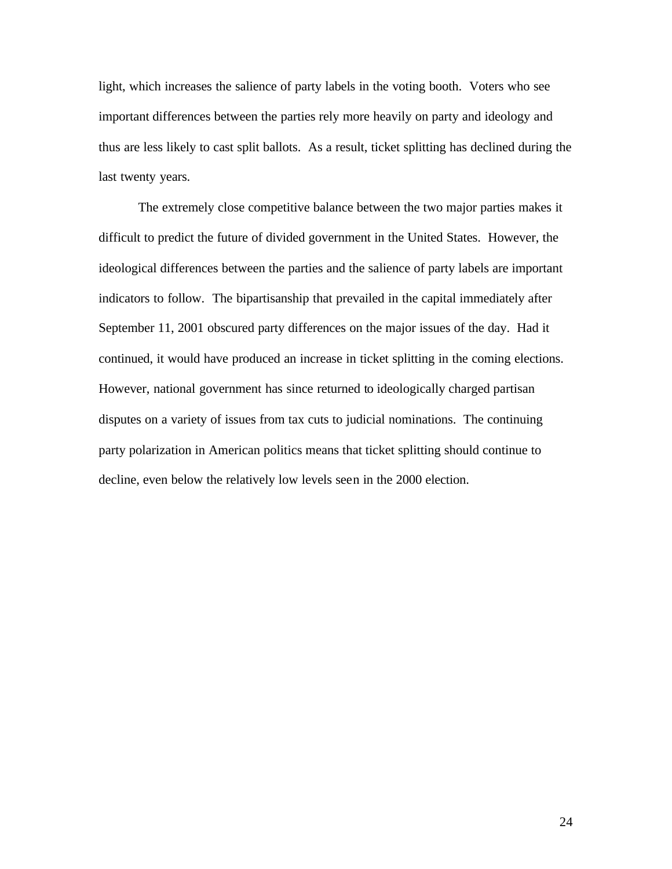light, which increases the salience of party labels in the voting booth. Voters who see important differences between the parties rely more heavily on party and ideology and thus are less likely to cast split ballots. As a result, ticket splitting has declined during the last twenty years.

The extremely close competitive balance between the two major parties makes it difficult to predict the future of divided government in the United States. However, the ideological differences between the parties and the salience of party labels are important indicators to follow. The bipartisanship that prevailed in the capital immediately after September 11, 2001 obscured party differences on the major issues of the day. Had it continued, it would have produced an increase in ticket splitting in the coming elections. However, national government has since returned to ideologically charged partisan disputes on a variety of issues from tax cuts to judicial nominations. The continuing party polarization in American politics means that ticket splitting should continue to decline, even below the relatively low levels seen in the 2000 election.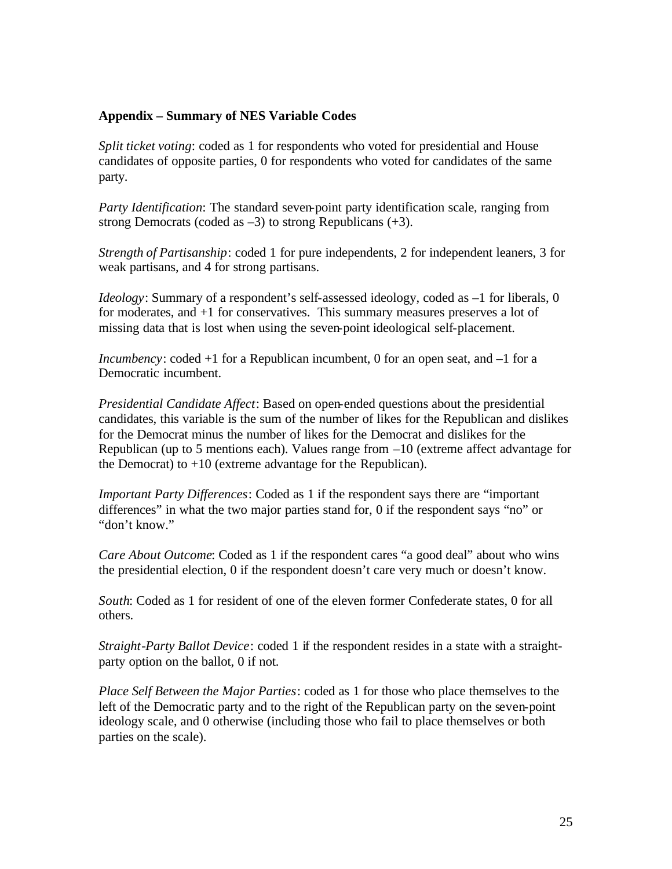# **Appendix – Summary of NES Variable Codes**

*Split ticket voting*: coded as 1 for respondents who voted for presidential and House candidates of opposite parties, 0 for respondents who voted for candidates of the same party.

*Party Identification*: The standard seven-point party identification scale, ranging from strong Democrats (coded as  $-3$ ) to strong Republicans  $(+3)$ .

*Strength of Partisanship*: coded 1 for pure independents, 2 for independent leaners, 3 for weak partisans, and 4 for strong partisans.

*Ideology*: Summary of a respondent's self-assessed ideology, coded as  $-1$  for liberals, 0 for moderates, and +1 for conservatives. This summary measures preserves a lot of missing data that is lost when using the seven-point ideological self-placement.

*Incumbency*: coded +1 for a Republican incumbent, 0 for an open seat, and –1 for a Democratic incumbent.

*Presidential Candidate Affect*: Based on open-ended questions about the presidential candidates, this variable is the sum of the number of likes for the Republican and dislikes for the Democrat minus the number of likes for the Democrat and dislikes for the Republican (up to 5 mentions each). Values range from  $-10$  (extreme affect advantage for the Democrat) to  $+10$  (extreme advantage for the Republican).

*Important Party Differences*: Coded as 1 if the respondent says there are "important differences" in what the two major parties stand for, 0 if the respondent says "no" or "don't know."

*Care About Outcome*: Coded as 1 if the respondent cares "a good deal" about who wins the presidential election, 0 if the respondent doesn't care very much or doesn't know.

*South*: Coded as 1 for resident of one of the eleven former Confederate states, 0 for all others.

*Straight-Party Ballot Device*: coded 1 if the respondent resides in a state with a straightparty option on the ballot, 0 if not.

*Place Self Between the Major Parties*: coded as 1 for those who place themselves to the left of the Democratic party and to the right of the Republican party on the seven-point ideology scale, and 0 otherwise (including those who fail to place themselves or both parties on the scale).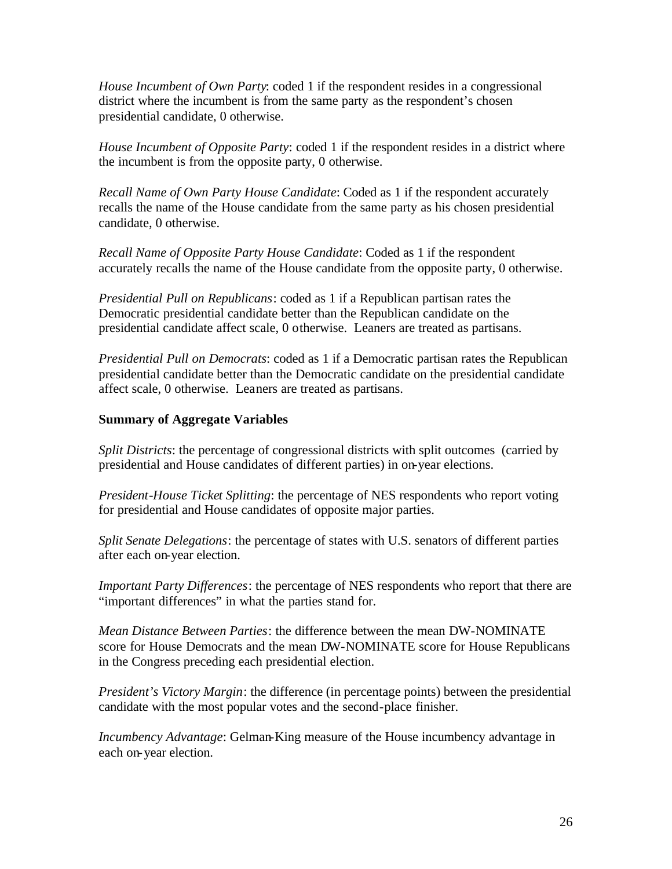*House Incumbent of Own Party*: coded 1 if the respondent resides in a congressional district where the incumbent is from the same party as the respondent's chosen presidential candidate, 0 otherwise.

*House Incumbent of Opposite Party*: coded 1 if the respondent resides in a district where the incumbent is from the opposite party, 0 otherwise.

*Recall Name of Own Party House Candidate*: Coded as 1 if the respondent accurately recalls the name of the House candidate from the same party as his chosen presidential candidate, 0 otherwise.

*Recall Name of Opposite Party House Candidate*: Coded as 1 if the respondent accurately recalls the name of the House candidate from the opposite party, 0 otherwise.

*Presidential Pull on Republicans*: coded as 1 if a Republican partisan rates the Democratic presidential candidate better than the Republican candidate on the presidential candidate affect scale, 0 otherwise. Leaners are treated as partisans.

*Presidential Pull on Democrats*: coded as 1 if a Democratic partisan rates the Republican presidential candidate better than the Democratic candidate on the presidential candidate affect scale, 0 otherwise. Leaners are treated as partisans.

# **Summary of Aggregate Variables**

*Split Districts*: the percentage of congressional districts with split outcomes (carried by presidential and House candidates of different parties) in on-year elections.

*President-House Ticket Splitting*: the percentage of NES respondents who report voting for presidential and House candidates of opposite major parties.

*Split Senate Delegations*: the percentage of states with U.S. senators of different parties after each on-year election.

*Important Party Differences*: the percentage of NES respondents who report that there are "important differences" in what the parties stand for.

*Mean Distance Between Parties*: the difference between the mean DW-NOMINATE score for House Democrats and the mean DW-NOMINATE score for House Republicans in the Congress preceding each presidential election.

*President's Victory Margin*: the difference (in percentage points) between the presidential candidate with the most popular votes and the second-place finisher.

*Incumbency Advantage*: Gelman-King measure of the House incumbency advantage in each on-year election.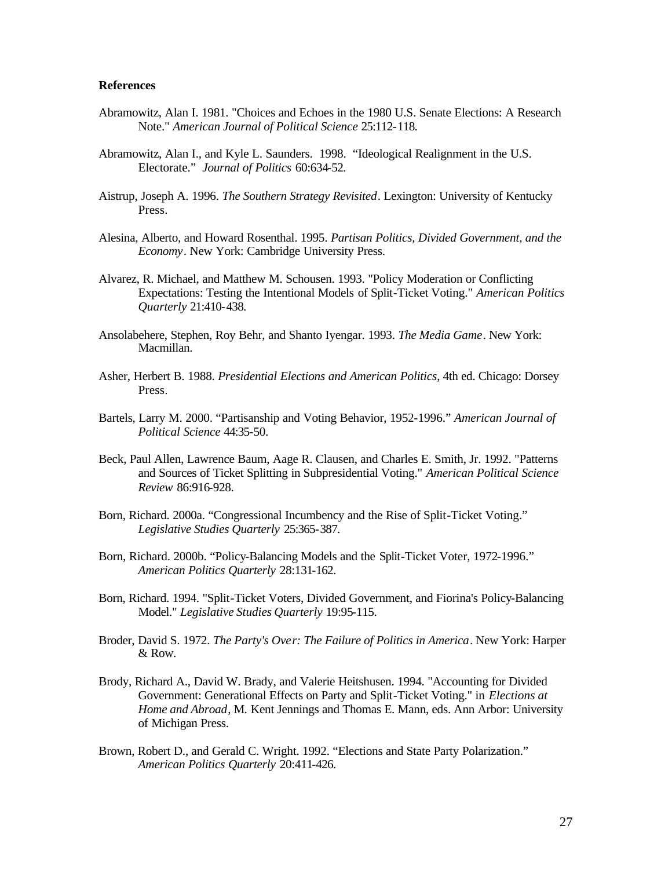#### **References**

- Abramowitz, Alan I. 1981. "Choices and Echoes in the 1980 U.S. Senate Elections: A Research Note." *American Journal of Political Science* 25:112-118.
- Abramowitz, Alan I., and Kyle L. Saunders. 1998. "Ideological Realignment in the U.S. Electorate." *Journal of Politics* 60:634-52.
- Aistrup, Joseph A. 1996. *The Southern Strategy Revisited*. Lexington: University of Kentucky Press.
- Alesina, Alberto, and Howard Rosenthal. 1995. *Partisan Politics, Divided Government, and the Economy*. New York: Cambridge University Press.
- Alvarez, R. Michael, and Matthew M. Schousen. 1993. "Policy Moderation or Conflicting Expectations: Testing the Intentional Models of Split-Ticket Voting." *American Politics Quarterly* 21:410-438.
- Ansolabehere, Stephen, Roy Behr, and Shanto Iyengar. 1993. *The Media Game*. New York: Macmillan.
- Asher, Herbert B. 1988. *Presidential Elections and American Politics*, 4th ed. Chicago: Dorsey Press.
- Bartels, Larry M. 2000. "Partisanship and Voting Behavior, 1952-1996." *American Journal of Political Science* 44:35-50.
- Beck, Paul Allen, Lawrence Baum, Aage R. Clausen, and Charles E. Smith, Jr. 1992. "Patterns and Sources of Ticket Splitting in Subpresidential Voting." *American Political Science Review* 86:916-928.
- Born, Richard. 2000a. "Congressional Incumbency and the Rise of Split-Ticket Voting." *Legislative Studies Quarterly* 25:365-387.
- Born, Richard. 2000b. "Policy-Balancing Models and the Split-Ticket Voter, 1972-1996." *American Politics Quarterly* 28:131-162.
- Born, Richard. 1994. "Split-Ticket Voters, Divided Government, and Fiorina's Policy-Balancing Model." *Legislative Studies Quarterly* 19:95-115.
- Broder, David S. 1972. *The Party's Over: The Failure of Politics in America*. New York: Harper & Row.
- Brody, Richard A., David W. Brady, and Valerie Heitshusen. 1994. "Accounting for Divided Government: Generational Effects on Party and Split-Ticket Voting." in *Elections at Home and Abroad*, M. Kent Jennings and Thomas E. Mann, eds. Ann Arbor: University of Michigan Press.
- Brown, Robert D., and Gerald C. Wright. 1992. "Elections and State Party Polarization." *American Politics Quarterly* 20:411-426.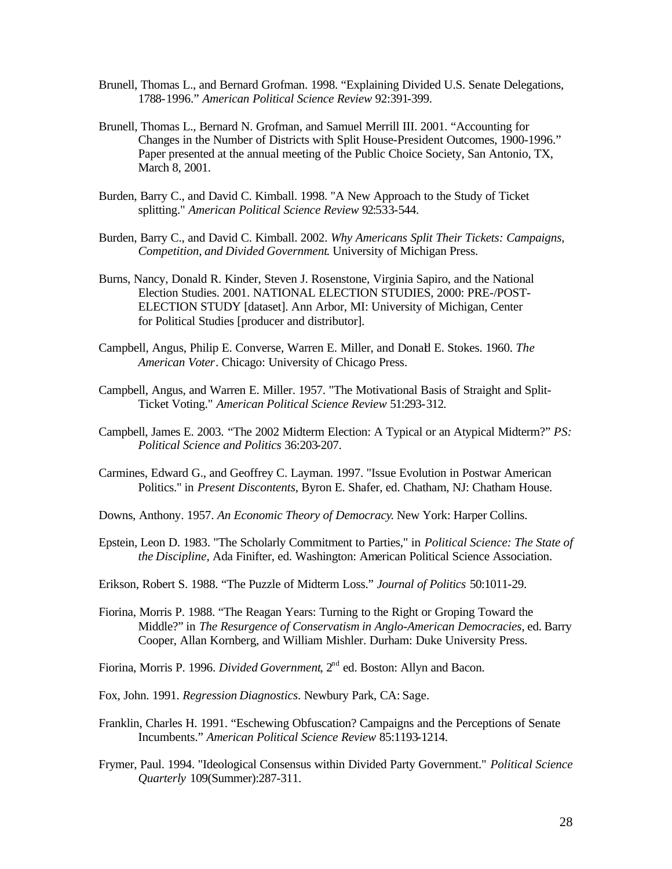- Brunell, Thomas L., and Bernard Grofman. 1998. "Explaining Divided U.S. Senate Delegations, 1788-1996." *American Political Science Review* 92:391-399.
- Brunell, Thomas L., Bernard N. Grofman, and Samuel Merrill III. 2001. "Accounting for Changes in the Number of Districts with Split House-President Outcomes, 1900-1996." Paper presented at the annual meeting of the Public Choice Society, San Antonio, TX, March 8, 2001.
- Burden, Barry C., and David C. Kimball. 1998. "A New Approach to the Study of Ticket splitting." *American Political Science Review* 92:533-544.
- Burden, Barry C., and David C. Kimball. 2002. *Why Americans Split Their Tickets: Campaigns, Competition, and Divided Government*. University of Michigan Press.
- Burns, Nancy, Donald R. Kinder, Steven J. Rosenstone, Virginia Sapiro, and the National Election Studies. 2001. NATIONAL ELECTION STUDIES, 2000: PRE-/POST-ELECTION STUDY [dataset]. Ann Arbor, MI: University of Michigan, Center for Political Studies [producer and distributor].
- Campbell, Angus, Philip E. Converse, Warren E. Miller, and Donald E. Stokes. 1960. *The American Voter*. Chicago: University of Chicago Press.
- Campbell, Angus, and Warren E. Miller. 1957. "The Motivational Basis of Straight and Split-Ticket Voting." *American Political Science Review* 51:293-312.
- Campbell, James E. 2003. "The 2002 Midterm Election: A Typical or an Atypical Midterm?" *PS: Political Science and Politics* 36:203-207.
- Carmines, Edward G., and Geoffrey C. Layman. 1997. "Issue Evolution in Postwar American Politics." in *Present Discontents*, Byron E. Shafer, ed. Chatham, NJ: Chatham House.
- Downs, Anthony. 1957. *An Economic Theory of Democracy*. New York: Harper Collins.
- Epstein, Leon D. 1983. "The Scholarly Commitment to Parties," in *Political Science: The State of the Discipline*, Ada Finifter, ed. Washington: American Political Science Association.
- Erikson, Robert S. 1988. "The Puzzle of Midterm Loss." *Journal of Politics* 50:1011-29.
- Fiorina, Morris P. 1988. "The Reagan Years: Turning to the Right or Groping Toward the Middle?" in *The Resurgence of Conservatism in Anglo-American Democracies*, ed. Barry Cooper, Allan Kornberg, and William Mishler. Durham: Duke University Press.

Fiorina, Morris P. 1996. *Divided Government*, 2<sup>nd</sup> ed. Boston: Allyn and Bacon.

- Fox, John. 1991. *Regression Diagnostics*. Newbury Park, CA: Sage.
- Franklin, Charles H. 1991. "Eschewing Obfuscation? Campaigns and the Perceptions of Senate Incumbents." *American Political Science Review* 85:1193-1214.
- Frymer, Paul. 1994. "Ideological Consensus within Divided Party Government." *Political Science Quarterly* 109(Summer):287-311.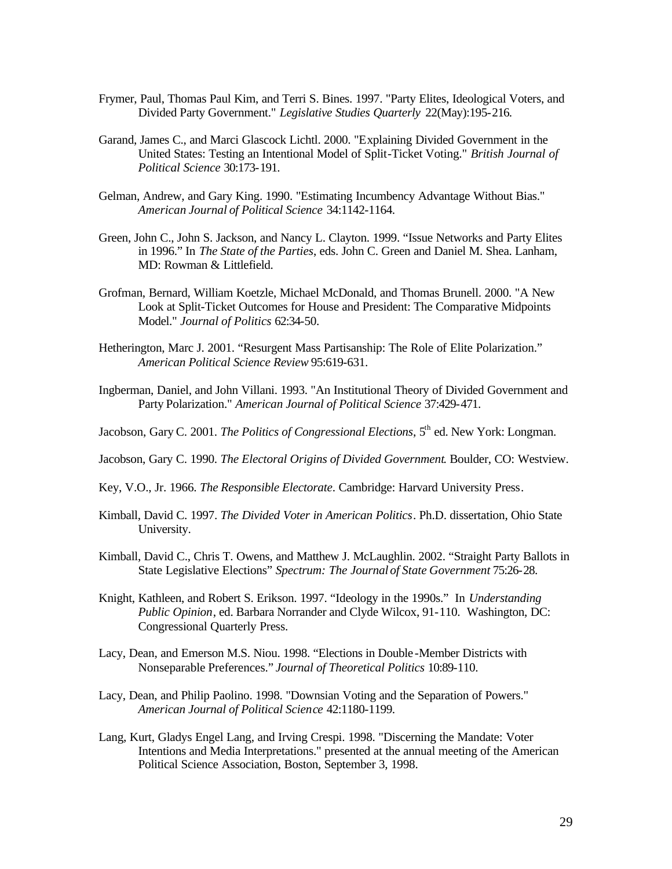- Frymer, Paul, Thomas Paul Kim, and Terri S. Bines. 1997. "Party Elites, Ideological Voters, and Divided Party Government." *Legislative Studies Quarterly* 22(May):195-216.
- Garand, James C., and Marci Glascock Lichtl. 2000. "Explaining Divided Government in the United States: Testing an Intentional Model of Split-Ticket Voting." *British Journal of Political Science* 30:173-191.
- Gelman, Andrew, and Gary King. 1990. "Estimating Incumbency Advantage Without Bias." *American Journal of Political Science* 34:1142-1164.
- Green, John C., John S. Jackson, and Nancy L. Clayton. 1999. "Issue Networks and Party Elites in 1996." In *The State of the Parties*, eds. John C. Green and Daniel M. Shea. Lanham, MD: Rowman & Littlefield.
- Grofman, Bernard, William Koetzle, Michael McDonald, and Thomas Brunell. 2000. "A New Look at Split-Ticket Outcomes for House and President: The Comparative Midpoints Model." *Journal of Politics* 62:34-50.
- Hetherington, Marc J. 2001. "Resurgent Mass Partisanship: The Role of Elite Polarization." *American Political Science Review* 95:619-631.
- Ingberman, Daniel, and John Villani. 1993. "An Institutional Theory of Divided Government and Party Polarization." *American Journal of Political Science* 37:429-471.
- Jacobson, Gary C. 2001. *The Politics of Congressional Elections*, 5<sup>th</sup> ed. New York: Longman.
- Jacobson, Gary C. 1990. *The Electoral Origins of Divided Government*. Boulder, CO: Westview.
- Key, V.O., Jr. 1966. *The Responsible Electorate*. Cambridge: Harvard University Press.
- Kimball, David C. 1997. *The Divided Voter in American Politics*. Ph.D. dissertation, Ohio State University.
- Kimball, David C., Chris T. Owens, and Matthew J. McLaughlin. 2002. "Straight Party Ballots in State Legislative Elections" *Spectrum: The Journal of State Government* 75:26-28.
- Knight, Kathleen, and Robert S. Erikson. 1997. "Ideology in the 1990s." In *Understanding Public Opinion*, ed. Barbara Norrander and Clyde Wilcox, 91-110. Washington, DC: Congressional Quarterly Press.
- Lacy, Dean, and Emerson M.S. Niou. 1998. "Elections in Double -Member Districts with Nonseparable Preferences." *Journal of Theoretical Politics* 10:89-110.
- Lacy, Dean, and Philip Paolino. 1998. "Downsian Voting and the Separation of Powers." *American Journal of Political Science* 42:1180-1199.
- Lang, Kurt, Gladys Engel Lang, and Irving Crespi. 1998. "Discerning the Mandate: Voter Intentions and Media Interpretations." presented at the annual meeting of the American Political Science Association, Boston, September 3, 1998.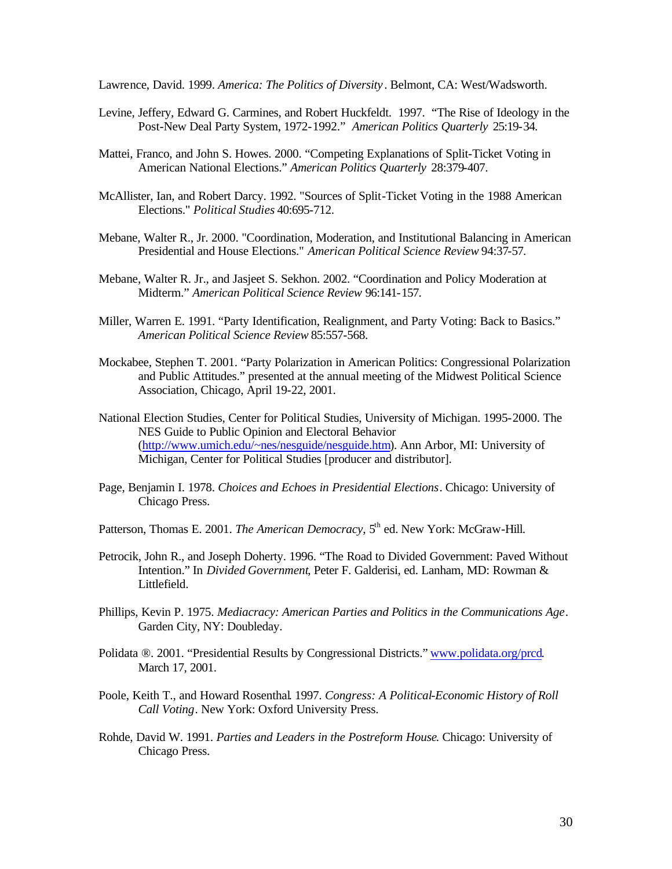Lawrence, David. 1999. *America: The Politics of Diversity* . Belmont, CA: West/Wadsworth.

- Levine, Jeffery, Edward G. Carmines, and Robert Huckfeldt. 1997. "The Rise of Ideology in the Post-New Deal Party System, 1972-1992." *American Politics Quarterly* 25:19-34.
- Mattei, Franco, and John S. Howes. 2000. "Competing Explanations of Split-Ticket Voting in American National Elections." *American Politics Quarterly* 28:379-407.
- McAllister, Ian, and Robert Darcy. 1992. "Sources of Split-Ticket Voting in the 1988 American Elections." *Political Studies* 40:695-712.
- Mebane, Walter R., Jr. 2000. "Coordination, Moderation, and Institutional Balancing in American Presidential and House Elections." *American Political Science Review* 94:37-57.
- Mebane, Walter R. Jr., and Jasjeet S. Sekhon. 2002. "Coordination and Policy Moderation at Midterm." *American Political Science Review* 96:141-157.
- Miller, Warren E. 1991. "Party Identification, Realignment, and Party Voting: Back to Basics." *American Political Science Review* 85:557-568.
- Mockabee, Stephen T. 2001. "Party Polarization in American Politics: Congressional Polarization and Public Attitudes." presented at the annual meeting of the Midwest Political Science Association, Chicago, April 19-22, 2001.
- National Election Studies, Center for Political Studies, University of Michigan. 1995-2000. The NES Guide to Public Opinion and Electoral Behavior (http://www.umich.edu/~nes/nesguide/nesguide.htm). Ann Arbor, MI: University of Michigan, Center for Political Studies [producer and distributor].
- Page, Benjamin I. 1978. *Choices and Echoes in Presidential Elections*. Chicago: University of Chicago Press.
- Patterson, Thomas E. 2001. *The American Democracy*, 5<sup>th</sup> ed. New York: McGraw-Hill.
- Petrocik, John R., and Joseph Doherty. 1996. "The Road to Divided Government: Paved Without Intention." In *Divided Government*, Peter F. Galderisi, ed. Lanham, MD: Rowman & Littlefield.
- Phillips, Kevin P. 1975. *Mediacracy: American Parties and Politics in the Communications Age*. Garden City, NY: Doubleday.
- Polidata ®. 2001. "Presidential Results by Congressional Districts." www.polidata.org/prcd. March 17, 2001.
- Poole, Keith T., and Howard Rosenthal. 1997. *Congress: A Political-Economic History of Roll Call Voting*. New York: Oxford University Press.
- Rohde, David W. 1991. *Parties and Leaders in the Postreform House*. Chicago: University of Chicago Press.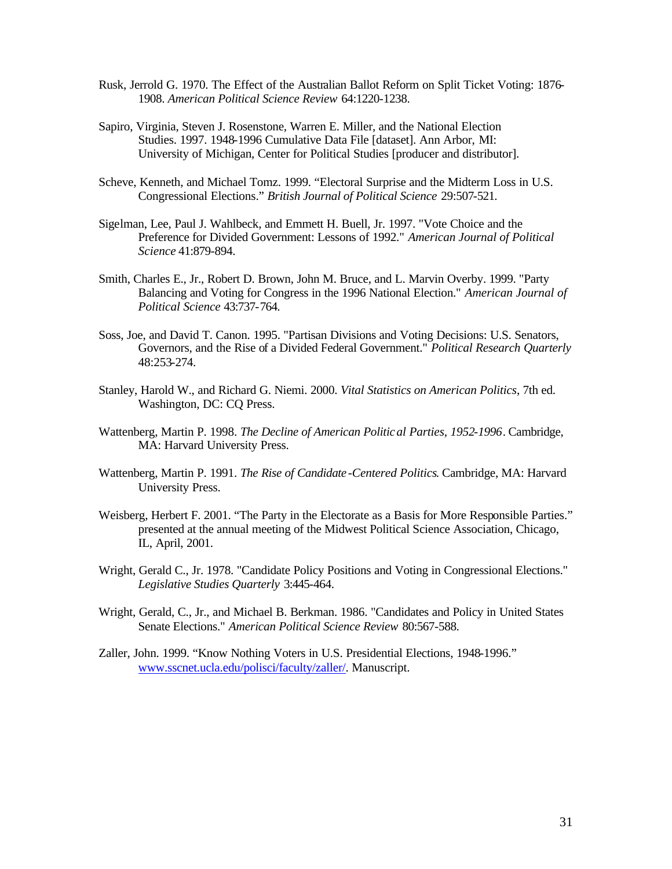- Rusk, Jerrold G. 1970. The Effect of the Australian Ballot Reform on Split Ticket Voting: 1876- 1908. *American Political Science Review* 64:1220-1238.
- Sapiro, Virginia, Steven J. Rosenstone, Warren E. Miller, and the National Election Studies. 1997. 1948-1996 Cumulative Data File [dataset]. Ann Arbor, MI: University of Michigan, Center for Political Studies [producer and distributor].
- Scheve, Kenneth, and Michael Tomz. 1999. "Electoral Surprise and the Midterm Loss in U.S. Congressional Elections." *British Journal of Political Science* 29:507-521.
- Sigelman, Lee, Paul J. Wahlbeck, and Emmett H. Buell, Jr. 1997. "Vote Choice and the Preference for Divided Government: Lessons of 1992." *American Journal of Political Science* 41:879-894.
- Smith, Charles E., Jr., Robert D. Brown, John M. Bruce, and L. Marvin Overby. 1999. "Party Balancing and Voting for Congress in the 1996 National Election." *American Journal of Political Science* 43:737-764.
- Soss, Joe, and David T. Canon. 1995. "Partisan Divisions and Voting Decisions: U.S. Senators, Governors, and the Rise of a Divided Federal Government." *Political Research Quarterly* 48:253-274.
- Stanley, Harold W., and Richard G. Niemi. 2000. *Vital Statistics on American Politics*, 7th ed. Washington, DC: CQ Press.
- Wattenberg, Martin P. 1998. *The Decline of American Political Parties, 1952-1996*. Cambridge, MA: Harvard University Press.
- Wattenberg, Martin P. 1991. *The Rise of Candidate -Centered Politics*. Cambridge, MA: Harvard University Press.
- Weisberg, Herbert F. 2001. "The Party in the Electorate as a Basis for More Responsible Parties." presented at the annual meeting of the Midwest Political Science Association, Chicago, IL, April, 2001.
- Wright, Gerald C., Jr. 1978. "Candidate Policy Positions and Voting in Congressional Elections." *Legislative Studies Quarterly* 3:445-464.
- Wright, Gerald, C., Jr., and Michael B. Berkman. 1986. "Candidates and Policy in United States Senate Elections." *American Political Science Review* 80:567-588.
- Zaller, John. 1999. "Know Nothing Voters in U.S. Presidential Elections, 1948-1996." www.sscnet.ucla.edu/polisci/faculty/zaller/. Manuscript.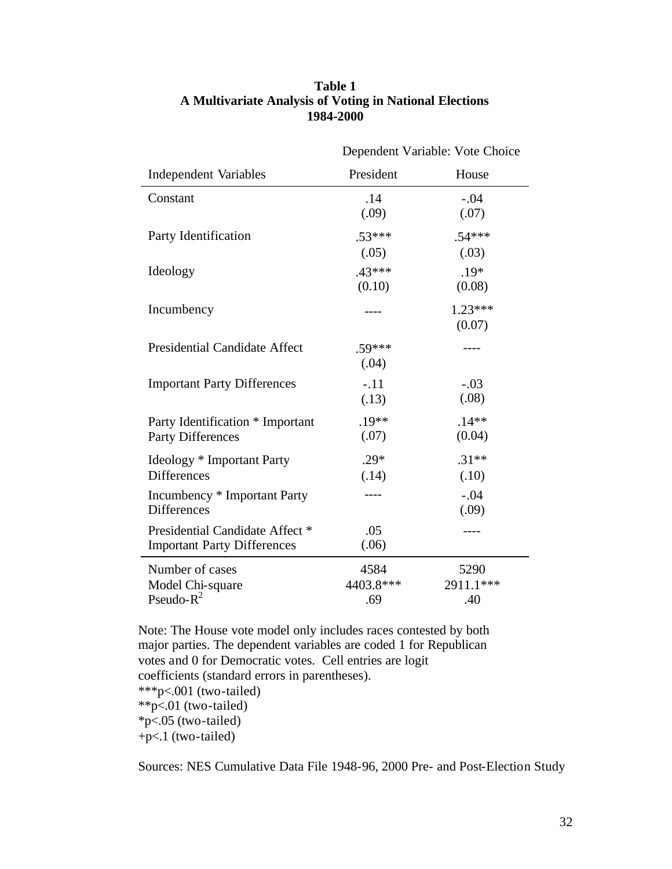|                                                                       | Dependent Variable: Vote Choice |                          |
|-----------------------------------------------------------------------|---------------------------------|--------------------------|
| <b>Independent Variables</b>                                          | President                       | House                    |
| Constant                                                              | .14<br>(.09)                    | $-.04$<br>(.07)          |
| Party Identification                                                  | $.53***$<br>(.05)               | $.54***$<br>(.03)        |
| Ideology                                                              | $.43***$<br>(0.10)              | $.19*$<br>(0.08)         |
| Incumbency                                                            |                                 | $1.23***$<br>(0.07)      |
| <b>Presidential Candidate Affect</b>                                  | $.59***$<br>(.04)               |                          |
| <b>Important Party Differences</b>                                    | $-.11$<br>(.13)                 | $-.03$<br>(.08)          |
| Party Identification * Important<br><b>Party Differences</b>          | $.19**$<br>(.07)                | $.14**$<br>(0.04)        |
| <b>Ideology</b> * Important Party<br><b>Differences</b>               | $.29*$<br>(.14)                 | $.31**$<br>(.10)         |
| Incumbency * Important Party<br><b>Differences</b>                    |                                 | $-.04$<br>(.09)          |
| Presidential Candidate Affect *<br><b>Important Party Differences</b> | .05<br>(.06)                    |                          |
| Number of cases<br>Model Chi-square<br>Pseudo- $R^2$                  | 4584<br>4403.8***<br>.69        | 5290<br>2911.1***<br>.40 |

# **Table 1 A Multivariate Analysis of Voting in National Elections 1984-2000**

Note: The House vote model only includes races contested by both major parties. The dependent variables are coded 1 for Republican votes and 0 for Democratic votes. Cell entries are logit coefficients (standard errors in parentheses). \*\*\*p<.001 (two-tailed)  $*$  $p < .01$  (two-tailed) \*p<.05 (two-tailed) +p<.1 (two-tailed)

Sources: NES Cumulative Data File 1948-96, 2000 Pre- and Post-Election Study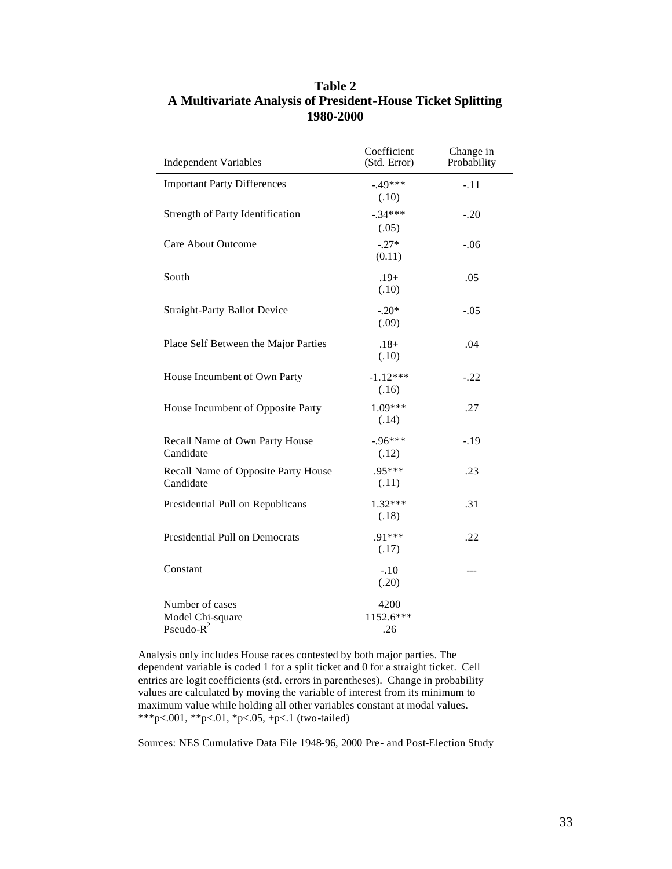| <b>Independent Variables</b>                         | Coefficient<br>(Std. Error) | Change in<br>Probability |
|------------------------------------------------------|-----------------------------|--------------------------|
| <b>Important Party Differences</b>                   | $-49***$<br>(.10)           | $-.11$                   |
| Strength of Party Identification                     | $-.34***$<br>(.05)          | $-.20$                   |
| <b>Care About Outcome</b>                            | $-.27*$<br>(0.11)           | $-.06$                   |
| South                                                | $.19+$<br>(.10)             | .05                      |
| <b>Straight-Party Ballot Device</b>                  | $-.20*$<br>(.09)            | $-.05$                   |
| Place Self Between the Major Parties                 | $.18+$<br>(.10)             | .04                      |
| House Incumbent of Own Party                         | $-1.12***$<br>(.16)         | $-.22$                   |
| House Incumbent of Opposite Party                    | 1.09***<br>(.14)            | .27                      |
| Recall Name of Own Party House<br>Candidate          | $-96***$<br>(.12)           | $-.19$                   |
| Recall Name of Opposite Party House<br>Candidate     | .95***<br>(.11)             | .23                      |
| Presidential Pull on Republicans                     | $1.32***$<br>(.18)          | .31                      |
| Presidential Pull on Democrats                       | .91***<br>(.17)             | .22                      |
| Constant                                             | $-.10$<br>(.20)             | ---                      |
| Number of cases<br>Model Chi-square<br>Pseudo- $R^2$ | 4200<br>1152.6***<br>.26    |                          |

# **Table 2 A Multivariate Analysis of President-House Ticket Splitting 1980-2000**

Analysis only includes House races contested by both major parties. The dependent variable is coded 1 for a split ticket and 0 for a straight ticket. Cell entries are logit coefficients (std. errors in parentheses). Change in probability values are calculated by moving the variable of interest from its minimum to maximum value while holding all other variables constant at modal values. \*\*\*p<.001, \*\*p<.01, \*p<.05, +p<.1 (two-tailed)

Sources: NES Cumulative Data File 1948-96, 2000 Pre- and Post-Election Study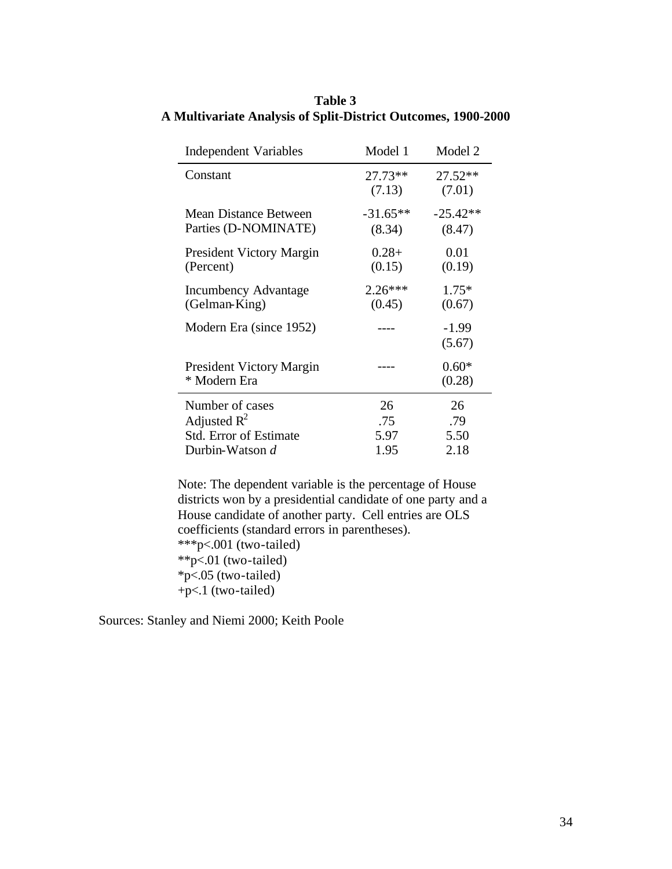| <b>Independent Variables</b>                    | Model 1              | Model 2              |
|-------------------------------------------------|----------------------|----------------------|
| Constant                                        | 27.73**<br>(7.13)    | 27.52**<br>(7.01)    |
| Mean Distance Between<br>Parties (D-NOMINATE)   | $-31.65**$<br>(8.34) | $-25.42**$<br>(8.47) |
| <b>President Victory Margin</b><br>(Percent)    | $0.28+$<br>(0.15)    | 0.01<br>(0.19)       |
| <b>Incumbency Advantage</b><br>(Gelman-King)    | $2.26***$<br>(0.45)  | $1.75*$<br>(0.67)    |
| Modern Era (since 1952)                         |                      | $-1.99$<br>(5.67)    |
| <b>President Victory Margin</b><br>* Modern Era |                      | $0.60*$<br>(0.28)    |
| Number of cases                                 | 26                   | 26                   |
| Adjusted $R^2$                                  | .75                  | .79                  |
| <b>Std. Error of Estimate</b>                   | 5.97                 | 5.50                 |
| Durbin-Watson d                                 | 1.95                 | 2.18                 |

# **Table 3 A Multivariate Analysis of Split-District Outcomes, 1900-2000**

Note: The dependent variable is the percentage of House districts won by a presidential candidate of one party and a House candidate of another party. Cell entries are OLS coefficients (standard errors in parentheses). \*\*\*p<.001 (two-tailed)  $*p<.01$  (two-tailed)  $*p<.05$  (two-tailed) +p<.1 (two-tailed)

Sources: Stanley and Niemi 2000; Keith Poole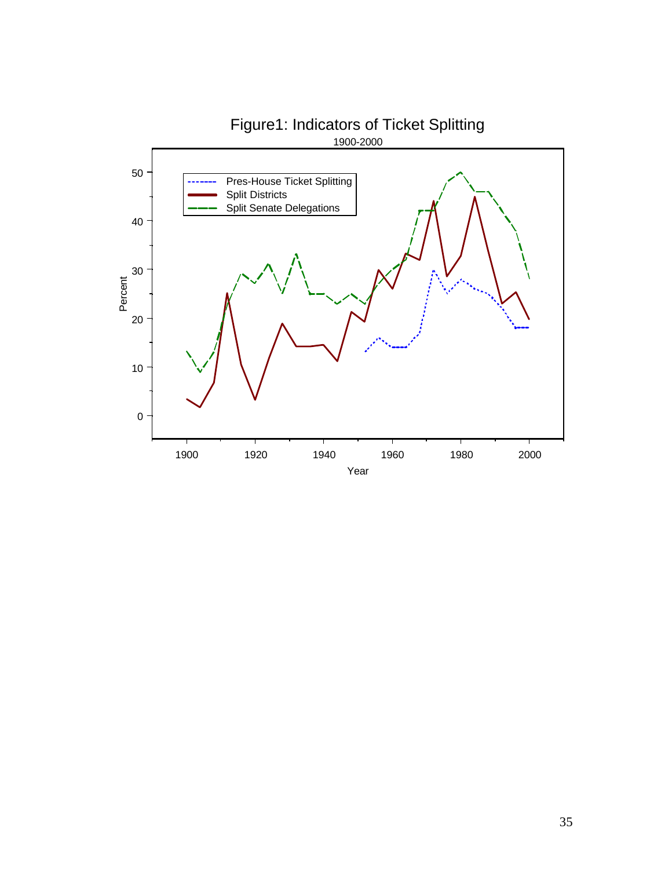